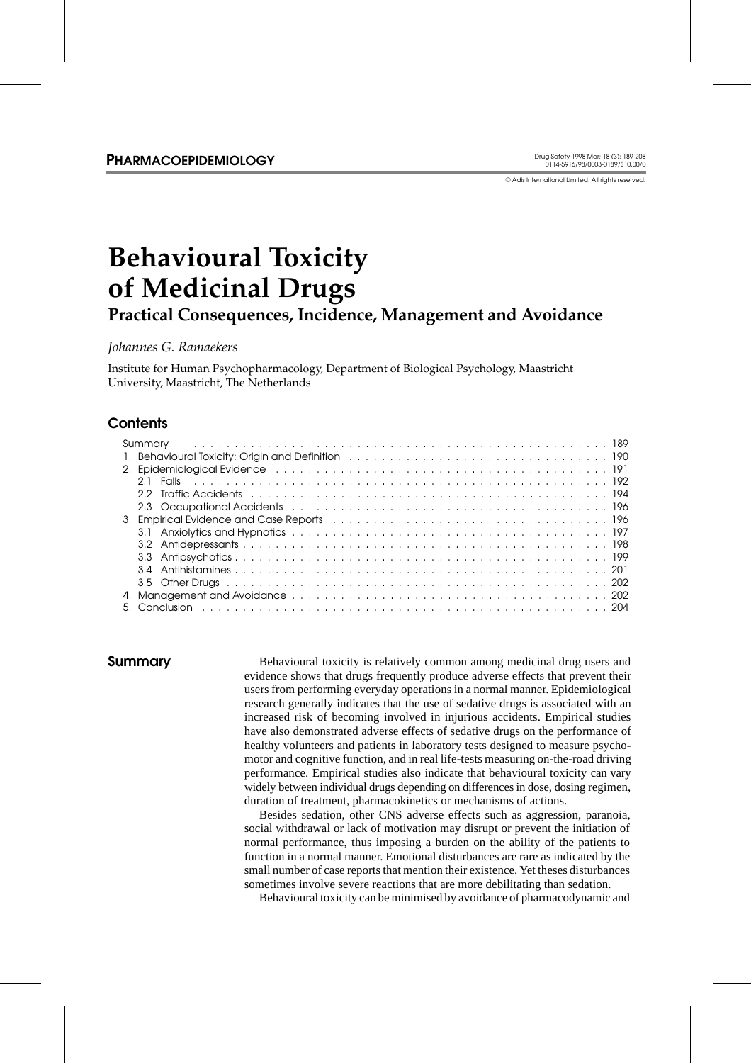© Adis International Limited. All rights reserved.

# **Behavioural Toxicity of Medicinal Drugs Practical Consequences, Incidence, Management and Avoidance**

*Johannes G. Ramaekers*

Institute for Human Psychopharmacology, Department of Biological Psychology, Maastricht University, Maastricht, The Netherlands

# **Contents**

| 1. Behavioural Toxicity: Origin and Definition (also contained a series and also contained a series of the seri |  |
|-----------------------------------------------------------------------------------------------------------------|--|
|                                                                                                                 |  |
|                                                                                                                 |  |
|                                                                                                                 |  |
|                                                                                                                 |  |
|                                                                                                                 |  |
| 3.1 Anxiolytics and Hypnotics et al., et al., et al., et al., et al., et al., et al., et al., et al., 197       |  |
|                                                                                                                 |  |
|                                                                                                                 |  |
|                                                                                                                 |  |
|                                                                                                                 |  |
|                                                                                                                 |  |
|                                                                                                                 |  |
|                                                                                                                 |  |

**Summary** Behavioural toxicity is relatively common among medicinal drug users and evidence shows that drugs frequently produce adverse effects that prevent their users from performing everyday operations in a normal manner. Epidemiological research generally indicates that the use of sedative drugs is associated with an increased risk of becoming involved in injurious accidents. Empirical studies have also demonstrated adverse effects of sedative drugs on the performance of healthy volunteers and patients in laboratory tests designed to measure psychomotor and cognitive function, and in real life-tests measuring on-the-road driving performance. Empirical studies also indicate that behavioural toxicity can vary widely between individual drugs depending on differences in dose, dosing regimen, duration of treatment, pharmacokinetics or mechanisms of actions.

> Besides sedation, other CNS adverse effects such as aggression, paranoia, social withdrawal or lack of motivation may disrupt or prevent the initiation of normal performance, thus imposing a burden on the ability of the patients to function in a normal manner. Emotional disturbances are rare as indicated by the small number of case reports that mention their existence. Yet theses disturbances sometimes involve severe reactions that are more debilitating than sedation.

Behavioural toxicity can be minimised by avoidance of pharmacodynamic and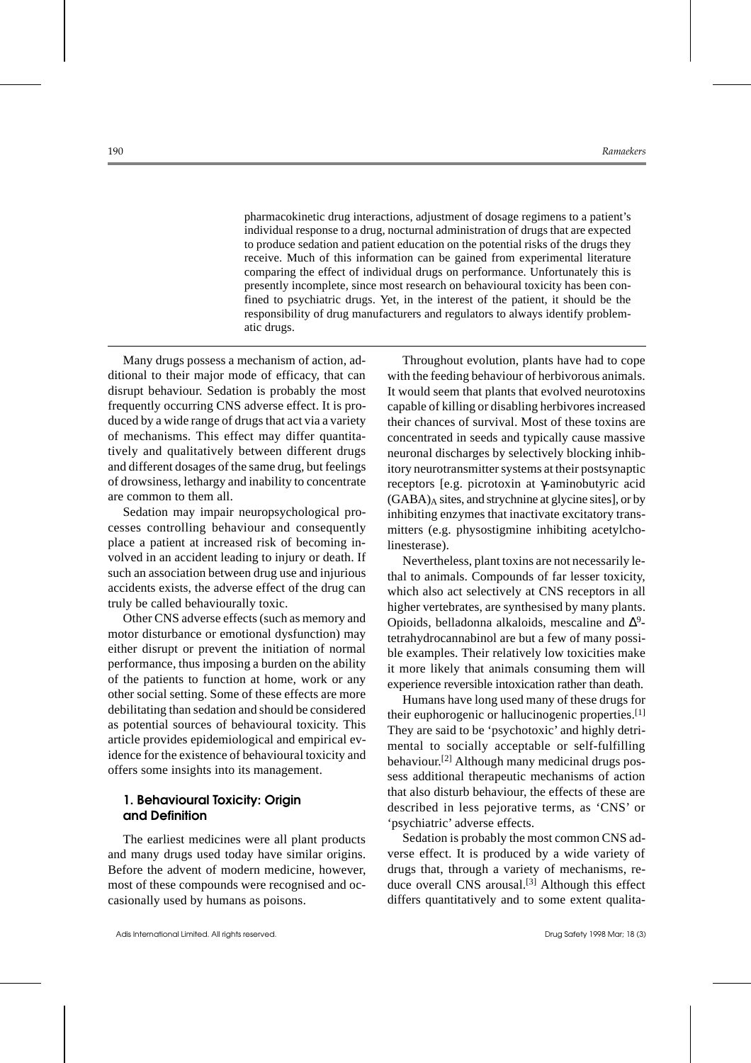pharmacokinetic drug interactions, adjustment of dosage regimens to a patient's individual response to a drug, nocturnal administration of drugs that are expected to produce sedation and patient education on the potential risks of the drugs they receive. Much of this information can be gained from experimental literature comparing the effect of individual drugs on performance. Unfortunately this is presently incomplete, since most research on behavioural toxicity has been confined to psychiatric drugs. Yet, in the interest of the patient, it should be the responsibility of drug manufacturers and regulators to always identify problematic drugs.

Many drugs possess a mechanism of action, additional to their major mode of efficacy, that can disrupt behaviour. Sedation is probably the most frequently occurring CNS adverse effect. It is produced by a wide range of drugs that act via a variety of mechanisms. This effect may differ quantitatively and qualitatively between different drugs and different dosages of the same drug, but feelings of drowsiness, lethargy and inability to concentrate are common to them all.

Sedation may impair neuropsychological processes controlling behaviour and consequently place a patient at increased risk of becoming involved in an accident leading to injury or death. If such an association between drug use and injurious accidents exists, the adverse effect of the drug can truly be called behaviourally toxic.

Other CNS adverse effects (such as memory and motor disturbance or emotional dysfunction) may either disrupt or prevent the initiation of normal performance, thus imposing a burden on the ability of the patients to function at home, work or any other social setting. Some of these effects are more debilitating than sedation and should be considered as potential sources of behavioural toxicity. This article provides epidemiological and empirical evidence for the existence of behavioural toxicity and offers some insights into its management.

# **1. Behavioural Toxicity: Origin and Definition**

The earliest medicines were all plant products and many drugs used today have similar origins. Before the advent of modern medicine, however, most of these compounds were recognised and occasionally used by humans as poisons.

Throughout evolution, plants have had to cope with the feeding behaviour of herbivorous animals. It would seem that plants that evolved neurotoxins capable of killing or disabling herbivores increased their chances of survival. Most of these toxins are concentrated in seeds and typically cause massive neuronal discharges by selectively blocking inhibitory neurotransmitter systems at their postsynaptic receptors [e.g. picrotoxin at γ-aminobutyric acid  $(GABA)$ <sub>A</sub> sites, and strychnine at glycine sites], or by inhibiting enzymes that inactivate excitatory transmitters (e.g. physostigmine inhibiting acetylcholinesterase).

Nevertheless, plant toxins are not necessarily lethal to animals. Compounds of far lesser toxicity, which also act selectively at CNS receptors in all higher vertebrates, are synthesised by many plants. Opioids, belladonna alkaloids, mescaline and  $\Delta^9$ tetrahydrocannabinol are but a few of many possible examples. Their relatively low toxicities make it more likely that animals consuming them will experience reversible intoxication rather than death.

Humans have long used many of these drugs for their euphorogenic or hallucinogenic properties.[1] They are said to be 'psychotoxic' and highly detrimental to socially acceptable or self-fulfilling behaviour.[2] Although many medicinal drugs possess additional therapeutic mechanisms of action that also disturb behaviour, the effects of these are described in less pejorative terms, as 'CNS' or 'psychiatric' adverse effects.

Sedation is probably the most common CNS adverse effect. It is produced by a wide variety of drugs that, through a variety of mechanisms, reduce overall CNS arousal.<sup>[3]</sup> Although this effect differs quantitatively and to some extent qualita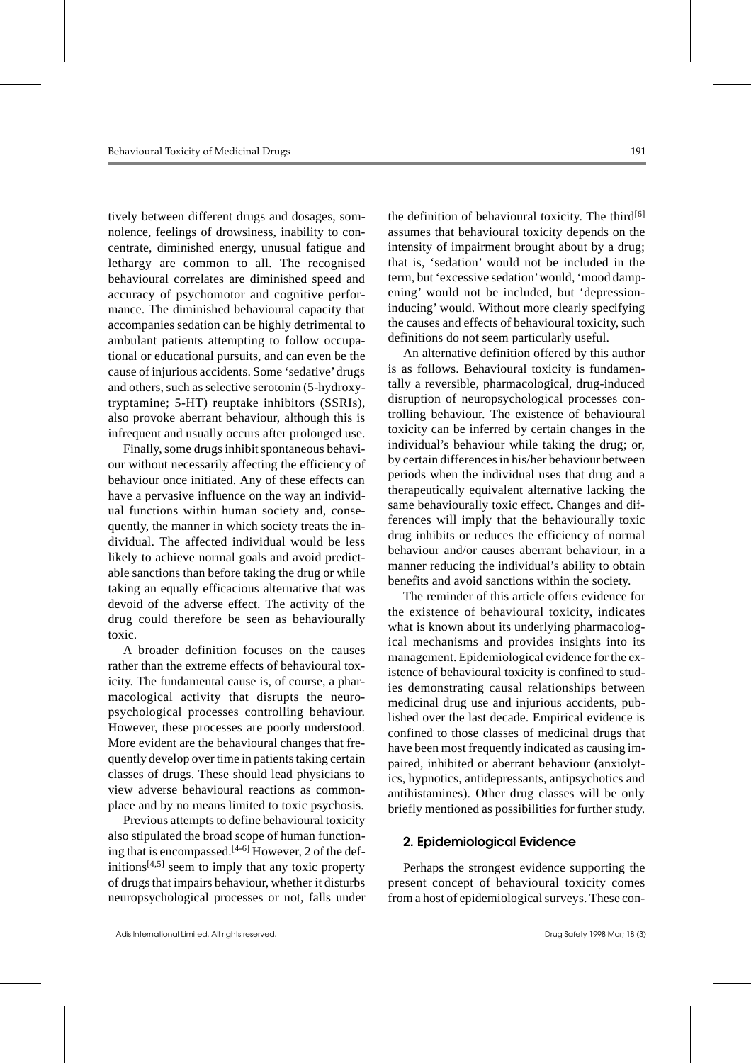tively between different drugs and dosages, somnolence, feelings of drowsiness, inability to concentrate, diminished energy, unusual fatigue and lethargy are common to all. The recognised behavioural correlates are diminished speed and accuracy of psychomotor and cognitive performance. The diminished behavioural capacity that accompanies sedation can be highly detrimental to ambulant patients attempting to follow occupational or educational pursuits, and can even be the cause of injurious accidents. Some 'sedative' drugs and others, such as selective serotonin (5-hydroxytryptamine; 5-HT) reuptake inhibitors (SSRIs), also provoke aberrant behaviour, although this is infrequent and usually occurs after prolonged use.

Finally, some drugs inhibit spontaneous behaviour without necessarily affecting the efficiency of behaviour once initiated. Any of these effects can have a pervasive influence on the way an individual functions within human society and, consequently, the manner in which society treats the individual. The affected individual would be less likely to achieve normal goals and avoid predictable sanctions than before taking the drug or while taking an equally efficacious alternative that was devoid of the adverse effect. The activity of the drug could therefore be seen as behaviourally toxic.

A broader definition focuses on the causes rather than the extreme effects of behavioural toxicity. The fundamental cause is, of course, a pharmacological activity that disrupts the neuropsychological processes controlling behaviour. However, these processes are poorly understood. More evident are the behavioural changes that frequently develop over time in patients taking certain classes of drugs. These should lead physicians to view adverse behavioural reactions as commonplace and by no means limited to toxic psychosis.

Previous attempts to define behavioural toxicity also stipulated the broad scope of human functioning that is encompassed.[4-6] However, 2 of the definitions $[4,5]$  seem to imply that any toxic property of drugs that impairs behaviour, whether it disturbs neuropsychological processes or not, falls under

the definition of behavioural toxicity. The third $[6]$ assumes that behavioural toxicity depends on the intensity of impairment brought about by a drug; that is, 'sedation' would not be included in the term, but 'excessive sedation' would, 'mood dampening' would not be included, but 'depressioninducing' would. Without more clearly specifying the causes and effects of behavioural toxicity, such definitions do not seem particularly useful.

An alternative definition offered by this author is as follows. Behavioural toxicity is fundamentally a reversible, pharmacological, drug-induced disruption of neuropsychological processes controlling behaviour. The existence of behavioural toxicity can be inferred by certain changes in the individual's behaviour while taking the drug; or, by certain differences in his/her behaviour between periods when the individual uses that drug and a therapeutically equivalent alternative lacking the same behaviourally toxic effect. Changes and differences will imply that the behaviourally toxic drug inhibits or reduces the efficiency of normal behaviour and/or causes aberrant behaviour, in a manner reducing the individual's ability to obtain benefits and avoid sanctions within the society.

The reminder of this article offers evidence for the existence of behavioural toxicity, indicates what is known about its underlying pharmacological mechanisms and provides insights into its management. Epidemiological evidence for the existence of behavioural toxicity is confined to studies demonstrating causal relationships between medicinal drug use and injurious accidents, published over the last decade. Empirical evidence is confined to those classes of medicinal drugs that have been most frequently indicated as causing impaired, inhibited or aberrant behaviour (anxiolytics, hypnotics, antidepressants, antipsychotics and antihistamines). Other drug classes will be only briefly mentioned as possibilities for further study.

# **2. Epidemiological Evidence**

Perhaps the strongest evidence supporting the present concept of behavioural toxicity comes from a host of epidemiological surveys. These con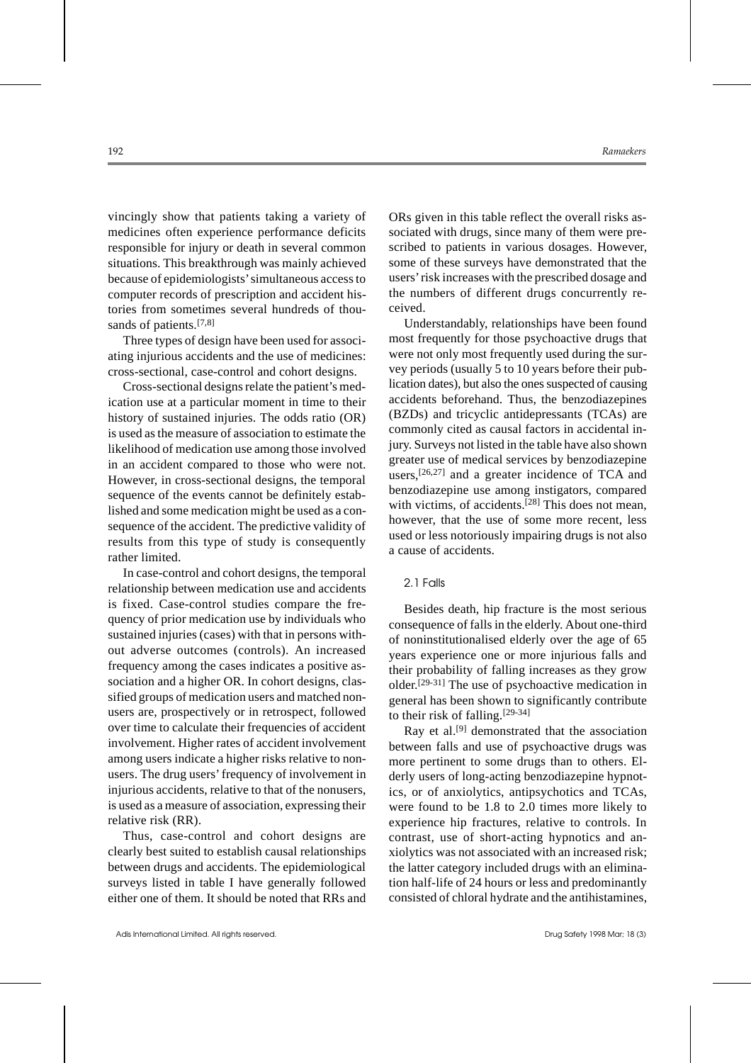vincingly show that patients taking a variety of medicines often experience performance deficits responsible for injury or death in several common situations. This breakthrough was mainly achieved because of epidemiologists' simultaneous access to computer records of prescription and accident histories from sometimes several hundreds of thousands of patients.<sup>[7,8]</sup>

Three types of design have been used for associating injurious accidents and the use of medicines: cross-sectional, case-control and cohort designs.

Cross-sectional designs relate the patient's medication use at a particular moment in time to their history of sustained injuries. The odds ratio (OR) is used as the measure of association to estimate the likelihood of medication use among those involved in an accident compared to those who were not. However, in cross-sectional designs, the temporal sequence of the events cannot be definitely established and some medication might be used as a consequence of the accident. The predictive validity of results from this type of study is consequently rather limited.

In case-control and cohort designs, the temporal relationship between medication use and accidents is fixed. Case-control studies compare the frequency of prior medication use by individuals who sustained injuries (cases) with that in persons without adverse outcomes (controls). An increased frequency among the cases indicates a positive association and a higher OR. In cohort designs, classified groups of medication users and matched nonusers are, prospectively or in retrospect, followed over time to calculate their frequencies of accident involvement. Higher rates of accident involvement among users indicate a higher risks relative to nonusers. The drug users' frequency of involvement in injurious accidents, relative to that of the nonusers, is used as a measure of association, expressing their relative risk (RR).

Thus, case-control and cohort designs are clearly best suited to establish causal relationships between drugs and accidents. The epidemiological surveys listed in table I have generally followed either one of them. It should be noted that RRs and ORs given in this table reflect the overall risks associated with drugs, since many of them were prescribed to patients in various dosages. However, some of these surveys have demonstrated that the users' risk increases with the prescribed dosage and the numbers of different drugs concurrently received.

Understandably, relationships have been found most frequently for those psychoactive drugs that were not only most frequently used during the survey periods (usually 5 to 10 years before their publication dates), but also the ones suspected of causing accidents beforehand. Thus, the benzodiazepines (BZDs) and tricyclic antidepressants (TCAs) are commonly cited as causal factors in accidental injury. Surveys not listed in the table have also shown greater use of medical services by benzodiazepine users,<sup>[26,27]</sup> and a greater incidence of TCA and benzodiazepine use among instigators, compared with victims, of accidents.<sup>[28]</sup> This does not mean, however, that the use of some more recent, less used or less notoriously impairing drugs is not also a cause of accidents.

# 2.1 Falls

Besides death, hip fracture is the most serious consequence of falls in the elderly. About one-third of noninstitutionalised elderly over the age of 65 years experience one or more injurious falls and their probability of falling increases as they grow older.[29-31] The use of psychoactive medication in general has been shown to significantly contribute to their risk of falling.[29-34]

Ray et al.[9] demonstrated that the association between falls and use of psychoactive drugs was more pertinent to some drugs than to others. Elderly users of long-acting benzodiazepine hypnotics, or of anxiolytics, antipsychotics and TCAs, were found to be 1.8 to 2.0 times more likely to experience hip fractures, relative to controls. In contrast, use of short-acting hypnotics and anxiolytics was not associated with an increased risk; the latter category included drugs with an elimination half-life of 24 hours or less and predominantly consisted of chloral hydrate and the antihistamines,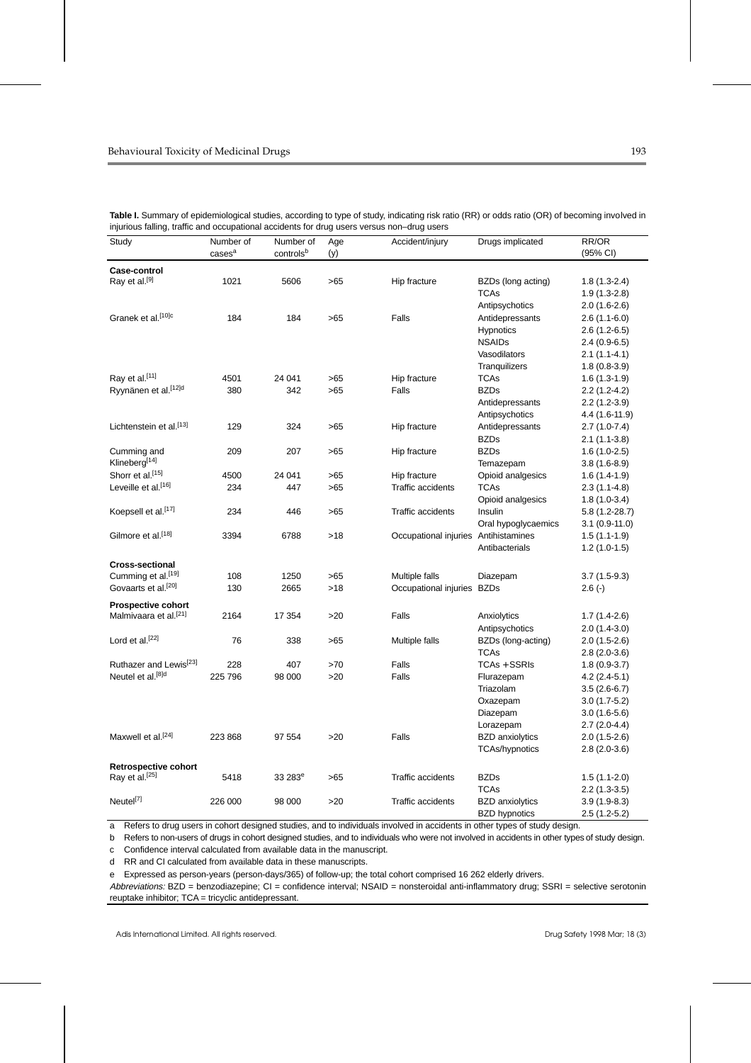| Study                               | Number of<br>cases <sup>a</sup> | Number of<br>controlsb | Age<br>(y) | Accident/injury                      | Drugs implicated       | RR/OR<br>(95% CI) |
|-------------------------------------|---------------------------------|------------------------|------------|--------------------------------------|------------------------|-------------------|
| Case-control                        |                                 |                        |            |                                      |                        |                   |
| Ray et al. <sup>[9]</sup>           | 1021                            | 5606                   | >65        | Hip fracture                         | BZDs (long acting)     | $1.8(1.3-2.4)$    |
|                                     |                                 |                        |            |                                      | <b>TCAs</b>            | $1.9(1.3-2.8)$    |
|                                     |                                 |                        |            |                                      | Antipsychotics         | $2.0(1.6-2.6)$    |
| Granek et al. <sup>[10]c</sup>      | 184                             | 184                    | $>65$      | Falls                                | Antidepressants        | $2.6(1.1-6.0)$    |
|                                     |                                 |                        |            |                                      | Hypnotics              | $2.6(1.2-6.5)$    |
|                                     |                                 |                        |            |                                      | <b>NSAIDs</b>          | $2.4(0.9-6.5)$    |
|                                     |                                 |                        |            |                                      | Vasodilators           | $2.1(1.1-4.1)$    |
|                                     |                                 |                        |            |                                      | Tranquilizers          | $1.8(0.8-3.9)$    |
| Ray et al. <sup>[11]</sup>          | 4501                            | 24 041                 | $>65$      | Hip fracture                         | <b>TCAs</b>            | $1.6(1.3-1.9)$    |
| Ryynänen et al. <sup>[12]d</sup>    | 380                             | 342                    | >65        | Falls                                | <b>BZDs</b>            | $2.2(1.2-4.2)$    |
|                                     |                                 |                        |            |                                      | Antidepressants        | $2.2(1.2-3.9)$    |
|                                     |                                 |                        |            |                                      | Antipsychotics         | 4.4 (1.6-11.9)    |
| Lichtenstein et al. <sup>[13]</sup> | 129                             | 324                    | >65        | Hip fracture                         | Antidepressants        | $2.7(1.0-7.4)$    |
|                                     |                                 |                        |            |                                      | <b>BZDs</b>            | $2.1(1.1-3.8)$    |
| Cumming and                         | 209                             | 207                    | >65        | Hip fracture                         | <b>BZDs</b>            | $1.6(1.0-2.5)$    |
| Klineberg <sup>[14]</sup>           |                                 |                        |            |                                      | Temazepam              | $3.8(1.6-8.9)$    |
| Shorr et al. <sup>[15]</sup>        | 4500                            | 24 041                 | >65        | Hip fracture                         | Opioid analgesics      | $1.6(1.4-1.9)$    |
| Leveille et al. <sup>[16]</sup>     | 234                             | 447                    | $>65$      | Traffic accidents                    | <b>TCAs</b>            | $2.3(1.1-4.8)$    |
|                                     |                                 |                        |            |                                      | Opioid analgesics      | $1.8(1.0-3.4)$    |
| Koepsell et al. <sup>[17]</sup>     | 234                             | 446                    | >65        | <b>Traffic accidents</b>             | Insulin                | $5.8(1.2 - 28.7)$ |
|                                     |                                 |                        |            |                                      | Oral hypoglycaemics    | $3.1(0.9-11.0)$   |
| Gilmore et al. <sup>[18]</sup>      | 3394                            | 6788                   | >18        | Occupational injuries Antihistamines |                        | $1.5(1.1-1.9)$    |
|                                     |                                 |                        |            |                                      | Antibacterials         | $1.2(1.0-1.5)$    |
| <b>Cross-sectional</b>              |                                 |                        |            |                                      |                        |                   |
| Cumming et al. <sup>[19]</sup>      | 108                             | 1250                   | $>65$      | Multiple falls                       | Diazepam               | $3.7(1.5-9.3)$    |
| Govaarts et al. <sup>[20]</sup>     | 130                             | 2665                   | >18        | Occupational injuries BZDs           |                        | $2.6(-)$          |
| <b>Prospective cohort</b>           |                                 |                        |            |                                      |                        |                   |
| Malmivaara et al. <sup>[21]</sup>   | 2164                            | 17 354                 | >20        | Falls                                | Anxiolytics            | $1.7(1.4-2.6)$    |
|                                     |                                 |                        |            |                                      | Antipsychotics         | $2.0(1.4-3.0)$    |
| Lord et al. <sup>[22]</sup>         | 76                              | 338                    | >65        | Multiple falls                       | BZDs (long-acting)     | $2.0(1.5-2.6)$    |
|                                     |                                 |                        |            |                                      | <b>TCAs</b>            | $2.8(2.0-3.6)$    |
| Ruthazer and Lewis <sup>[23]</sup>  | 228                             | 407                    | >70        | Falls                                | $TCAs + SSRIs$         | $1.8(0.9-3.7)$    |
| Neutel et al. <sup>[8]d</sup>       | 225 796                         | 98 000                 | >20        | Falls                                | Flurazepam             | $4.2(2.4-5.1)$    |
|                                     |                                 |                        |            |                                      | Triazolam              | $3.5(2.6-6.7)$    |
|                                     |                                 |                        |            |                                      | Oxazepam               | $3.0(1.7-5.2)$    |
|                                     |                                 |                        |            |                                      | Diazepam               | $3.0(1.6-5.6)$    |
|                                     |                                 |                        |            |                                      | Lorazepam              | $2.7(2.0-4.4)$    |
| Maxwell et al. <sup>[24]</sup>      | 223 868                         | 97 554                 | >20        | Falls                                | <b>BZD</b> anxiolytics | $2.0(1.5-2.6)$    |
|                                     |                                 |                        |            |                                      | <b>TCAs/hypnotics</b>  | $2.8(2.0-3.6)$    |
| Retrospective cohort                |                                 |                        |            |                                      |                        |                   |
| Ray et al. <sup>[25]</sup>          | 5418                            | 33 283 <sup>e</sup>    | >65        | Traffic accidents                    | <b>BZDs</b>            | $1.5(1.1-2.0)$    |
|                                     |                                 |                        |            |                                      | <b>TCAs</b>            | $2.2(1.3-3.5)$    |
| Neutel <sup>[7]</sup>               | 226 000                         | 98 000                 | >20        | Traffic accidents                    | <b>BZD</b> anxiolytics | $3.9(1.9-8.3)$    |
|                                     |                                 |                        |            |                                      | <b>BZD</b> hypnotics   | $2.5(1.2-5.2)$    |
|                                     |                                 |                        |            |                                      |                        |                   |

**Table I.** Summary of epidemiological studies, according to type of study, indicating risk ratio (RR) or odds ratio (OR) of becoming involved in injurious falling, traffic and occupational accidents for drug users versus non–drug users

a Refers to drug users in cohort designed studies, and to individuals involved in accidents in other types of study design.

b Refers to non-users of drugs in cohort designed studies, and to individuals who were not involved in accidents in other types of study design. c Confidence interval calculated from available data in the manuscript.

d RR and CI calculated from available data in these manuscripts.

e Expressed as person-years (person-days/365) of follow-up; the total cohort comprised 16 262 elderly drivers.

Abbreviations: BZD = benzodiazepine; CI = confidence interval; NSAID = nonsteroidal anti-inflammatory drug; SSRI = selective serotonin reuptake inhibitor; TCA = tricyclic antidepressant.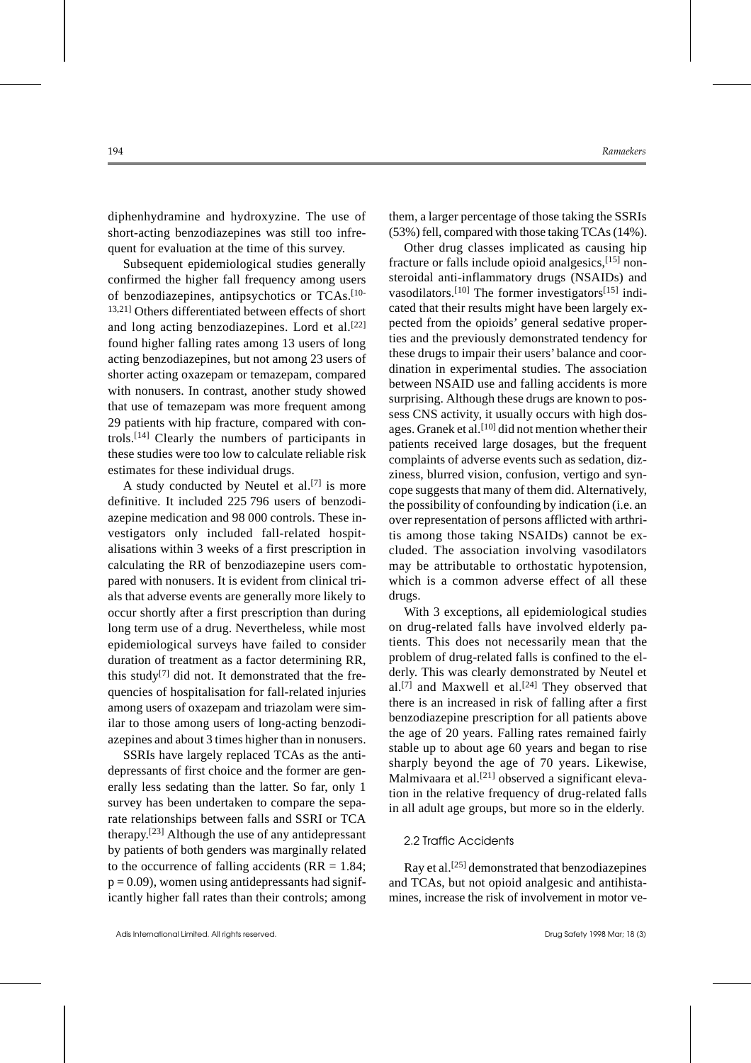diphenhydramine and hydroxyzine. The use of short-acting benzodiazepines was still too infrequent for evaluation at the time of this survey.

Subsequent epidemiological studies generally confirmed the higher fall frequency among users of benzodiazepines, antipsychotics or TCAs.[10- 13,21] Others differentiated between effects of short and long acting benzodiazepines. Lord et al.<sup>[22]</sup> found higher falling rates among 13 users of long acting benzodiazepines, but not among 23 users of shorter acting oxazepam or temazepam, compared with nonusers. In contrast, another study showed that use of temazepam was more frequent among 29 patients with hip fracture, compared with controls.[14] Clearly the numbers of participants in these studies were too low to calculate reliable risk estimates for these individual drugs.

A study conducted by Neutel et al.[7] is more definitive. It included 225 796 users of benzodiazepine medication and 98 000 controls. These investigators only included fall-related hospitalisations within 3 weeks of a first prescription in calculating the RR of benzodiazepine users compared with nonusers. It is evident from clinical trials that adverse events are generally more likely to occur shortly after a first prescription than during long term use of a drug. Nevertheless, while most epidemiological surveys have failed to consider duration of treatment as a factor determining RR, this study<sup>[7]</sup> did not. It demonstrated that the frequencies of hospitalisation for fall-related injuries among users of oxazepam and triazolam were similar to those among users of long-acting benzodiazepines and about 3 times higher than in nonusers.

SSRIs have largely replaced TCAs as the antidepressants of first choice and the former are generally less sedating than the latter. So far, only 1 survey has been undertaken to compare the separate relationships between falls and SSRI or TCA therapy.[23] Although the use of any antidepressant by patients of both genders was marginally related to the occurrence of falling accidents ( $RR = 1.84$ ;  $p = 0.09$ , women using antidepressants had significantly higher fall rates than their controls; among them, a larger percentage of those taking the SSRIs (53%) fell, compared with those taking TCAs (14%).

Other drug classes implicated as causing hip fracture or falls include opioid analgesics,[15] nonsteroidal anti-inflammatory drugs (NSAIDs) and vasodilators.<sup>[10]</sup> The former investigators<sup>[15]</sup> indicated that their results might have been largely expected from the opioids' general sedative properties and the previously demonstrated tendency for these drugs to impair their users' balance and coordination in experimental studies. The association between NSAID use and falling accidents is more surprising. Although these drugs are known to possess CNS activity, it usually occurs with high dosages. Granek et al.<sup>[10]</sup> did not mention whether their patients received large dosages, but the frequent complaints of adverse events such as sedation, dizziness, blurred vision, confusion, vertigo and syncope suggests that many of them did. Alternatively, the possibility of confounding by indication (i.e. an over representation of persons afflicted with arthritis among those taking NSAIDs) cannot be excluded. The association involving vasodilators may be attributable to orthostatic hypotension, which is a common adverse effect of all these drugs.

With 3 exceptions, all epidemiological studies on drug-related falls have involved elderly patients. This does not necessarily mean that the problem of drug-related falls is confined to the elderly. This was clearly demonstrated by Neutel et al.<sup>[7]</sup> and Maxwell et al.<sup>[24]</sup> They observed that there is an increased in risk of falling after a first benzodiazepine prescription for all patients above the age of 20 years. Falling rates remained fairly stable up to about age 60 years and began to rise sharply beyond the age of 70 years. Likewise, Malmivaara et al.<sup>[21]</sup> observed a significant elevation in the relative frequency of drug-related falls in all adult age groups, but more so in the elderly.

# 2.2 Traffic Accidents

Ray et al.[25] demonstrated that benzodiazepines and TCAs, but not opioid analgesic and antihistamines, increase the risk of involvement in motor ve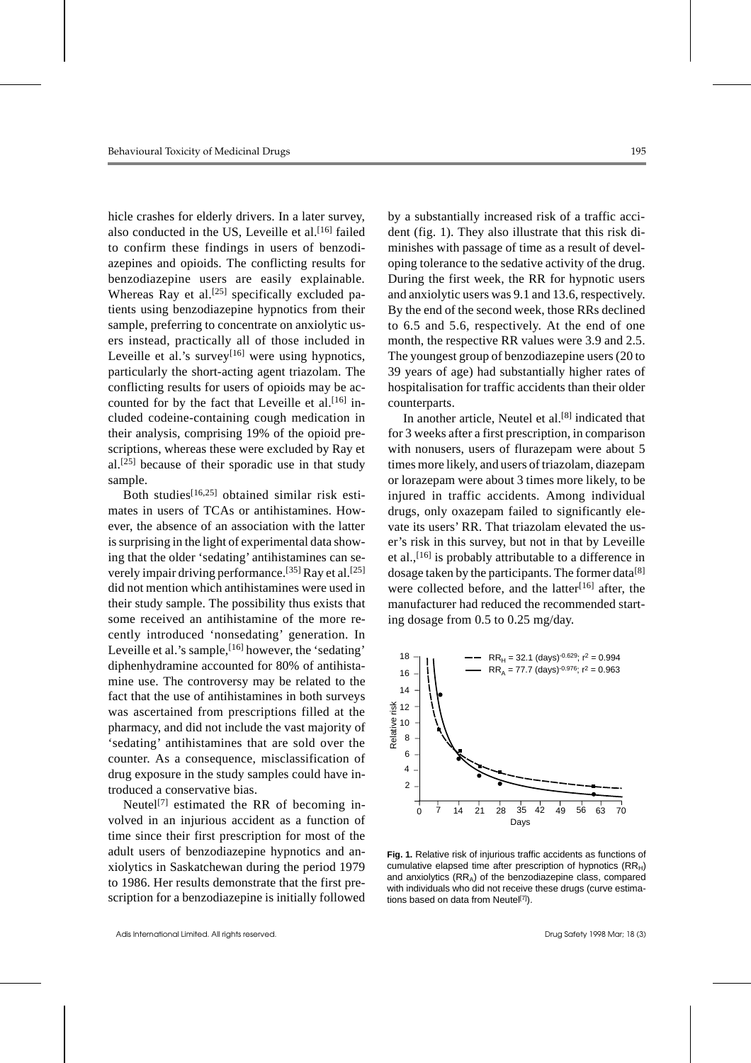hicle crashes for elderly drivers. In a later survey, also conducted in the US, Leveille et al.<sup>[16]</sup> failed to confirm these findings in users of benzodiazepines and opioids. The conflicting results for benzodiazepine users are easily explainable. Whereas Ray et al.<sup>[25]</sup> specifically excluded patients using benzodiazepine hypnotics from their sample, preferring to concentrate on anxiolytic users instead, practically all of those included in Leveille et al.'s survey<sup>[16]</sup> were using hypnotics, particularly the short-acting agent triazolam. The conflicting results for users of opioids may be accounted for by the fact that Leveille et al. $[16]$  included codeine-containing cough medication in their analysis, comprising 19% of the opioid prescriptions, whereas these were excluded by Ray et al.[25] because of their sporadic use in that study sample.

Both studies[16,25] obtained similar risk estimates in users of TCAs or antihistamines. However, the absence of an association with the latter is surprising in the light of experimental data showing that the older 'sedating' antihistamines can severely impair driving performance.<sup>[35]</sup> Ray et al.<sup>[25]</sup> did not mention which antihistamines were used in their study sample. The possibility thus exists that some received an antihistamine of the more recently introduced 'nonsedating' generation. In Leveille et al.'s sample,<sup>[16]</sup> however, the 'sedating' diphenhydramine accounted for 80% of antihistamine use. The controversy may be related to the fact that the use of antihistamines in both surveys was ascertained from prescriptions filled at the pharmacy, and did not include the vast majority of 'sedating' antihistamines that are sold over the counter. As a consequence, misclassification of drug exposure in the study samples could have introduced a conservative bias.

Neutel<sup>[7]</sup> estimated the RR of becoming involved in an injurious accident as a function of time since their first prescription for most of the adult users of benzodiazepine hypnotics and anxiolytics in Saskatchewan during the period 1979 to 1986. Her results demonstrate that the first prescription for a benzodiazepine is initially followed

by a substantially increased risk of a traffic accident (fig. 1). They also illustrate that this risk diminishes with passage of time as a result of developing tolerance to the sedative activity of the drug. During the first week, the RR for hypnotic users and anxiolytic users was 9.1 and 13.6, respectively. By the end of the second week, those RRs declined to 6.5 and 5.6, respectively. At the end of one month, the respective RR values were 3.9 and 2.5. The youngest group of benzodiazepine users (20 to 39 years of age) had substantially higher rates of hospitalisation for traffic accidents than their older counterparts.

In another article, Neutel et al.<sup>[8]</sup> indicated that for 3 weeks after a first prescription, in comparison with nonusers, users of flurazepam were about 5 times more likely, and users of triazolam, diazepam or lorazepam were about 3 times more likely, to be injured in traffic accidents. Among individual drugs, only oxazepam failed to significantly elevate its users' RR. That triazolam elevated the user's risk in this survey, but not in that by Leveille et al.,  $[16]$  is probably attributable to a difference in dosage taken by the participants. The former data<sup>[8]</sup> were collected before, and the latter<sup>[16]</sup> after, the manufacturer had reduced the recommended starting dosage from 0.5 to 0.25 mg/day.



**Fig. 1.** Relative risk of injurious traffic accidents as functions of cumulative elapsed time after prescription of hypnotics  $(RR_H)$ and anxiolytics (RRA) of the benzodiazepine class, compared with individuals who did not receive these drugs (curve estimations based on data from Neutel<sup>[7]</sup>).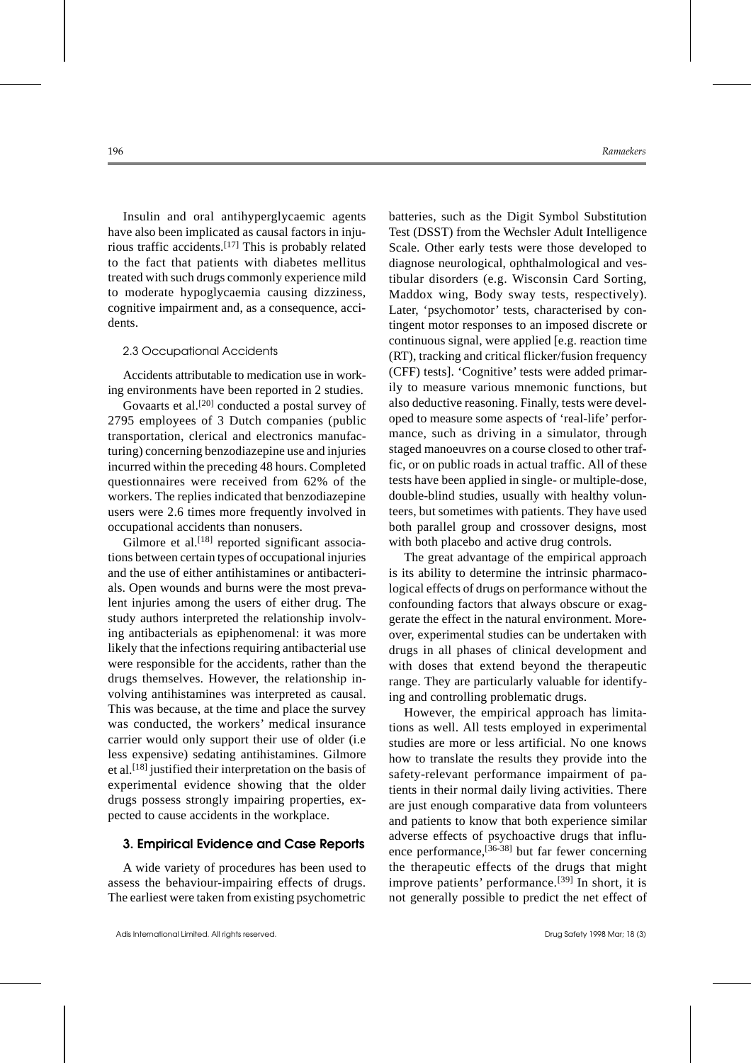Insulin and oral antihyperglycaemic agents have also been implicated as causal factors in injurious traffic accidents.[17] This is probably related to the fact that patients with diabetes mellitus treated with such drugs commonly experience mild to moderate hypoglycaemia causing dizziness, cognitive impairment and, as a consequence, accidents.

#### 2.3 Occupational Accidents

Accidents attributable to medication use in working environments have been reported in 2 studies.

Govaarts et al.[20] conducted a postal survey of 2795 employees of 3 Dutch companies (public transportation, clerical and electronics manufacturing) concerning benzodiazepine use and injuries incurred within the preceding 48 hours. Completed questionnaires were received from 62% of the workers. The replies indicated that benzodiazepine users were 2.6 times more frequently involved in occupational accidents than nonusers.

Gilmore et al.<sup>[18]</sup> reported significant associations between certain types of occupational injuries and the use of either antihistamines or antibacterials. Open wounds and burns were the most prevalent injuries among the users of either drug. The study authors interpreted the relationship involving antibacterials as epiphenomenal: it was more likely that the infections requiring antibacterial use were responsible for the accidents, rather than the drugs themselves. However, the relationship involving antihistamines was interpreted as causal. This was because, at the time and place the survey was conducted, the workers' medical insurance carrier would only support their use of older (i.e less expensive) sedating antihistamines. Gilmore et al.[18] justified their interpretation on the basis of experimental evidence showing that the older drugs possess strongly impairing properties, expected to cause accidents in the workplace.

# **3. Empirical Evidence and Case Reports**

A wide variety of procedures has been used to assess the behaviour-impairing effects of drugs. The earliest were taken from existing psychometric batteries, such as the Digit Symbol Substitution Test (DSST) from the Wechsler Adult Intelligence Scale. Other early tests were those developed to diagnose neurological, ophthalmological and vestibular disorders (e.g. Wisconsin Card Sorting, Maddox wing, Body sway tests, respectively). Later, 'psychomotor' tests, characterised by contingent motor responses to an imposed discrete or continuous signal, were applied [e.g. reaction time (RT), tracking and critical flicker/fusion frequency (CFF) tests]. 'Cognitive' tests were added primarily to measure various mnemonic functions, but also deductive reasoning. Finally, tests were developed to measure some aspects of 'real-life' performance, such as driving in a simulator, through staged manoeuvres on a course closed to other traffic, or on public roads in actual traffic. All of these tests have been applied in single- or multiple-dose, double-blind studies, usually with healthy volunteers, but sometimes with patients. They have used both parallel group and crossover designs, most with both placebo and active drug controls.

The great advantage of the empirical approach is its ability to determine the intrinsic pharmacological effects of drugs on performance without the confounding factors that always obscure or exaggerate the effect in the natural environment. Moreover, experimental studies can be undertaken with drugs in all phases of clinical development and with doses that extend beyond the therapeutic range. They are particularly valuable for identifying and controlling problematic drugs.

However, the empirical approach has limitations as well. All tests employed in experimental studies are more or less artificial. No one knows how to translate the results they provide into the safety-relevant performance impairment of patients in their normal daily living activities. There are just enough comparative data from volunteers and patients to know that both experience similar adverse effects of psychoactive drugs that influence performance,<sup>[36-38]</sup> but far fewer concerning the therapeutic effects of the drugs that might improve patients' performance.<sup>[39]</sup> In short, it is not generally possible to predict the net effect of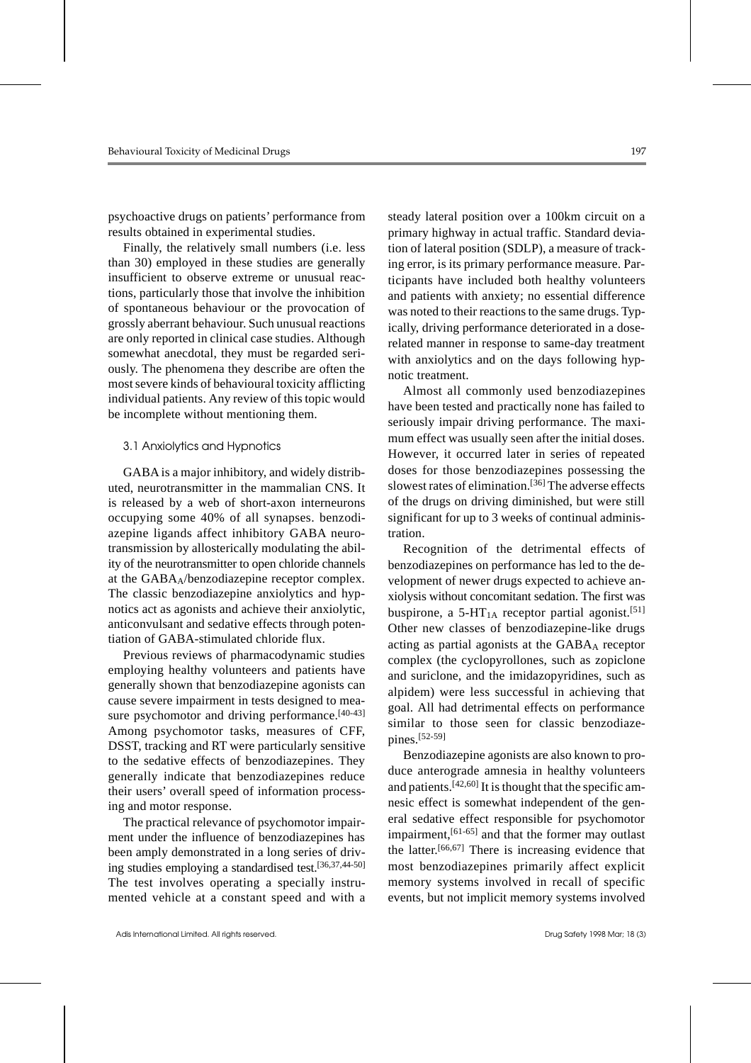psychoactive drugs on patients' performance from results obtained in experimental studies.

Finally, the relatively small numbers (i.e. less than 30) employed in these studies are generally insufficient to observe extreme or unusual reactions, particularly those that involve the inhibition of spontaneous behaviour or the provocation of grossly aberrant behaviour. Such unusual reactions are only reported in clinical case studies. Although somewhat anecdotal, they must be regarded seriously. The phenomena they describe are often the most severe kinds of behavioural toxicity afflicting individual patients. Any review of this topic would be incomplete without mentioning them.

# 3.1 Anxiolytics and Hypnotics

GABA is a major inhibitory, and widely distributed, neurotransmitter in the mammalian CNS. It is released by a web of short-axon interneurons occupying some 40% of all synapses. benzodiazepine ligands affect inhibitory GABA neurotransmission by allosterically modulating the ability of the neurotransmitter to open chloride channels at the  $GABA_A/b$ enzodiazepine receptor complex. The classic benzodiazepine anxiolytics and hypnotics act as agonists and achieve their anxiolytic, anticonvulsant and sedative effects through potentiation of GABA-stimulated chloride flux.

Previous reviews of pharmacodynamic studies employing healthy volunteers and patients have generally shown that benzodiazepine agonists can cause severe impairment in tests designed to measure psychomotor and driving performance.<sup>[40-43]</sup> Among psychomotor tasks, measures of CFF, DSST, tracking and RT were particularly sensitive to the sedative effects of benzodiazepines. They generally indicate that benzodiazepines reduce their users' overall speed of information processing and motor response.

The practical relevance of psychomotor impairment under the influence of benzodiazepines has been amply demonstrated in a long series of driving studies employing a standardised test.[36,37,44-50] The test involves operating a specially instrumented vehicle at a constant speed and with a steady lateral position over a 100km circuit on a primary highway in actual traffic. Standard deviation of lateral position (SDLP), a measure of tracking error, is its primary performance measure. Participants have included both healthy volunteers and patients with anxiety; no essential difference was noted to their reactions to the same drugs. Typically, driving performance deteriorated in a doserelated manner in response to same-day treatment with anxiolytics and on the days following hypnotic treatment.

Almost all commonly used benzodiazepines have been tested and practically none has failed to seriously impair driving performance. The maximum effect was usually seen after the initial doses. However, it occurred later in series of repeated doses for those benzodiazepines possessing the slowest rates of elimination.[36] The adverse effects of the drugs on driving diminished, but were still significant for up to 3 weeks of continual administration.

Recognition of the detrimental effects of benzodiazepines on performance has led to the development of newer drugs expected to achieve anxiolysis without concomitant sedation. The first was buspirone, a 5-HT<sub>1A</sub> receptor partial agonist.<sup>[51]</sup> Other new classes of benzodiazepine-like drugs acting as partial agonists at the GABAA receptor complex (the cyclopyrollones, such as zopiclone and suriclone, and the imidazopyridines, such as alpidem) were less successful in achieving that goal. All had detrimental effects on performance similar to those seen for classic benzodiazepines.[52-59]

Benzodiazepine agonists are also known to produce anterograde amnesia in healthy volunteers and patients.[42,60] It is thought that the specific amnesic effect is somewhat independent of the general sedative effect responsible for psychomotor impairment,[61-65] and that the former may outlast the latter.[66,67] There is increasing evidence that most benzodiazepines primarily affect explicit memory systems involved in recall of specific events, but not implicit memory systems involved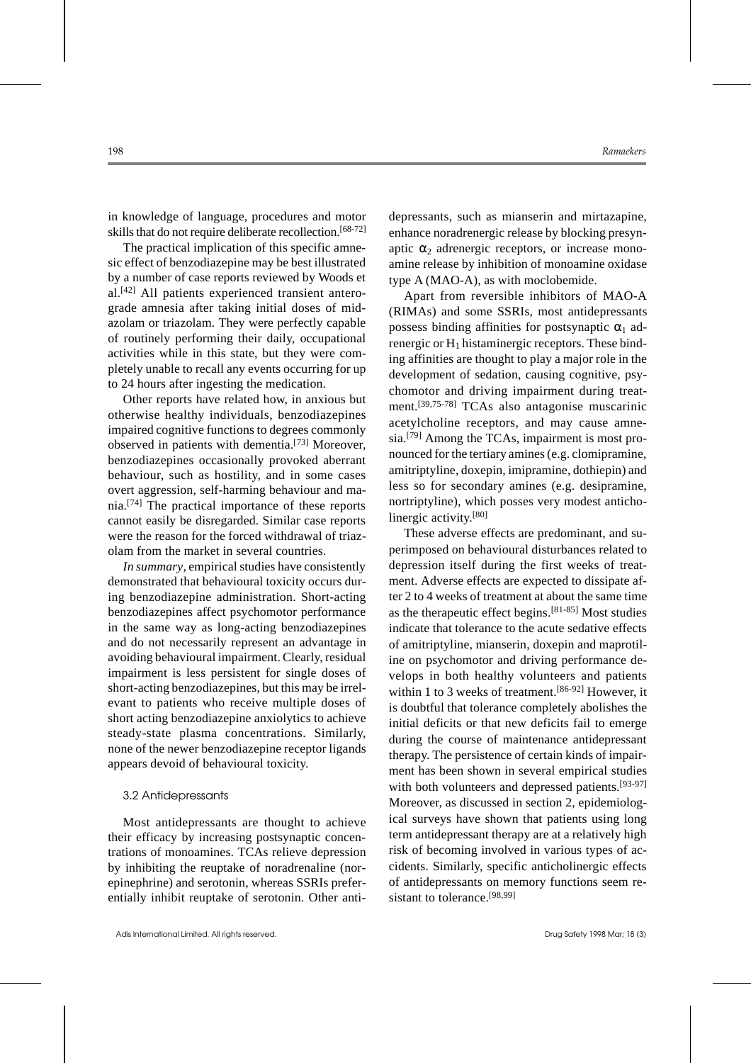in knowledge of language, procedures and motor skills that do not require deliberate recollection.[68-72]

The practical implication of this specific amnesic effect of benzodiazepine may be best illustrated by a number of case reports reviewed by Woods et al.[42] All patients experienced transient anterograde amnesia after taking initial doses of midazolam or triazolam. They were perfectly capable of routinely performing their daily, occupational activities while in this state, but they were completely unable to recall any events occurring for up to 24 hours after ingesting the medication.

Other reports have related how, in anxious but otherwise healthy individuals, benzodiazepines impaired cognitive functions to degrees commonly observed in patients with dementia.<sup>[73]</sup> Moreover, benzodiazepines occasionally provoked aberrant behaviour, such as hostility, and in some cases overt aggression, self-harming behaviour and mania.[74] The practical importance of these reports cannot easily be disregarded. Similar case reports were the reason for the forced withdrawal of triazolam from the market in several countries.

*In summary*, empirical studies have consistently demonstrated that behavioural toxicity occurs during benzodiazepine administration. Short-acting benzodiazepines affect psychomotor performance in the same way as long-acting benzodiazepines and do not necessarily represent an advantage in avoiding behavioural impairment. Clearly, residual impairment is less persistent for single doses of short-acting benzodiazepines, but this may be irrelevant to patients who receive multiple doses of short acting benzodiazepine anxiolytics to achieve steady-state plasma concentrations. Similarly, none of the newer benzodiazepine receptor ligands appears devoid of behavioural toxicity.

#### 3.2 Antidepressants

Most antidepressants are thought to achieve their efficacy by increasing postsynaptic concentrations of monoamines. TCAs relieve depression by inhibiting the reuptake of noradrenaline (norepinephrine) and serotonin, whereas SSRIs preferentially inhibit reuptake of serotonin. Other antidepressants, such as mianserin and mirtazapine, enhance noradrenergic release by blocking presynaptic  $\alpha_2$  adrenergic receptors, or increase monoamine release by inhibition of monoamine oxidase type A (MAO-A), as with moclobemide.

Apart from reversible inhibitors of MAO-A (RIMAs) and some SSRIs, most antidepressants possess binding affinities for postsynaptic  $\alpha_1$  adrenergic or  $H_1$  histaminergic receptors. These binding affinities are thought to play a major role in the development of sedation, causing cognitive, psychomotor and driving impairment during treatment.[39,75-78] TCAs also antagonise muscarinic acetylcholine receptors, and may cause amnesia.[79] Among the TCAs, impairment is most pronounced for the tertiary amines (e.g. clomipramine, amitriptyline, doxepin, imipramine, dothiepin) and less so for secondary amines (e.g. desipramine, nortriptyline), which posses very modest anticholinergic activity.[80]

These adverse effects are predominant, and superimposed on behavioural disturbances related to depression itself during the first weeks of treatment. Adverse effects are expected to dissipate after 2 to 4 weeks of treatment at about the same time as the therapeutic effect begins.[81-85] Most studies indicate that tolerance to the acute sedative effects of amitriptyline, mianserin, doxepin and maprotiline on psychomotor and driving performance develops in both healthy volunteers and patients within 1 to 3 weeks of treatment.<sup>[86-92]</sup> However, it is doubtful that tolerance completely abolishes the initial deficits or that new deficits fail to emerge during the course of maintenance antidepressant therapy. The persistence of certain kinds of impairment has been shown in several empirical studies with both volunteers and depressed patients.<sup>[93-97]</sup> Moreover, as discussed in section 2, epidemiological surveys have shown that patients using long term antidepressant therapy are at a relatively high risk of becoming involved in various types of accidents. Similarly, specific anticholinergic effects of antidepressants on memory functions seem resistant to tolerance.<sup>[98,99]</sup>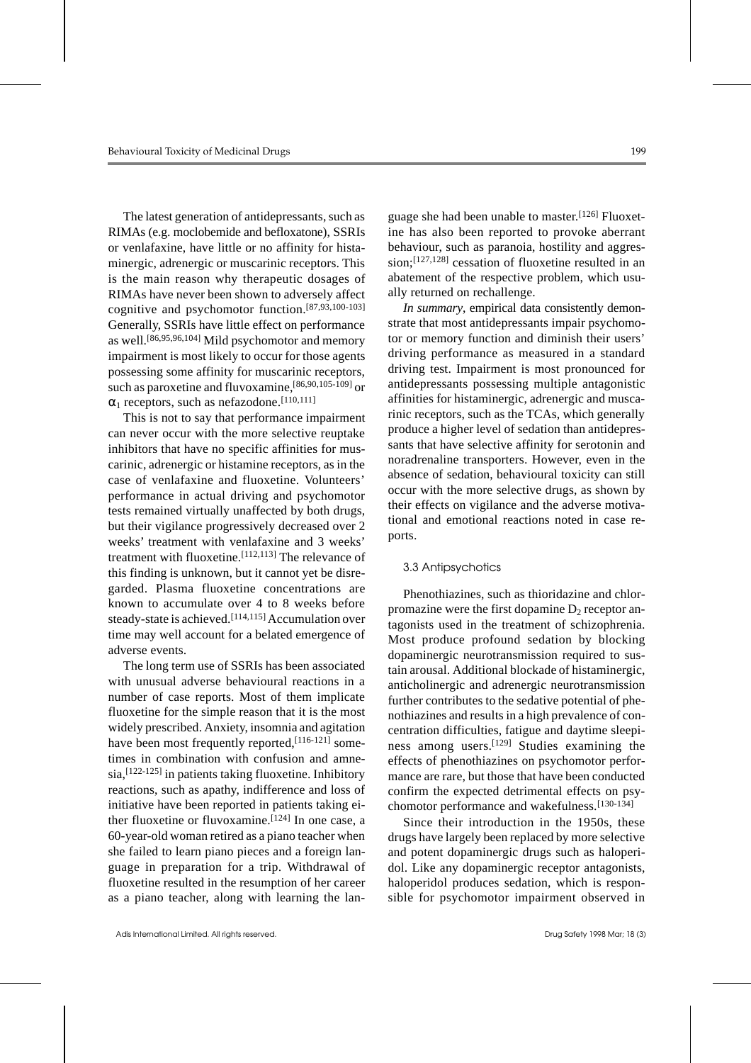The latest generation of antidepressants, such as RIMAs (e.g. moclobemide and befloxatone), SSRIs or venlafaxine, have little or no affinity for histaminergic, adrenergic or muscarinic receptors. This is the main reason why therapeutic dosages of RIMAs have never been shown to adversely affect cognitive and psychomotor function.[87,93,100-103] Generally, SSRIs have little effect on performance as well.[86,95,96,104] Mild psychomotor and memory impairment is most likely to occur for those agents possessing some affinity for muscarinic receptors, such as paroxetine and fluvoxamine,<sup>[86,90,105-109]</sup> or  $\alpha_1$  receptors, such as nefazodone.<sup>[110,111]</sup>

This is not to say that performance impairment can never occur with the more selective reuptake inhibitors that have no specific affinities for muscarinic, adrenergic or histamine receptors, as in the case of venlafaxine and fluoxetine. Volunteers' performance in actual driving and psychomotor tests remained virtually unaffected by both drugs, but their vigilance progressively decreased over 2 weeks' treatment with venlafaxine and 3 weeks' treatment with fluoxetine.[112,113] The relevance of this finding is unknown, but it cannot yet be disregarded. Plasma fluoxetine concentrations are known to accumulate over 4 to 8 weeks before steady-state is achieved.[114,115] Accumulation over time may well account for a belated emergence of adverse events.

The long term use of SSRIs has been associated with unusual adverse behavioural reactions in a number of case reports. Most of them implicate fluoxetine for the simple reason that it is the most widely prescribed. Anxiety, insomnia and agitation have been most frequently reported, [116-121] sometimes in combination with confusion and amne $sia$ ,  $[122-125]$  in patients taking fluoxetine. Inhibitory reactions, such as apathy, indifference and loss of initiative have been reported in patients taking either fluoxetine or fluvoxamine.<sup>[124]</sup> In one case, a 60-year-old woman retired as a piano teacher when she failed to learn piano pieces and a foreign language in preparation for a trip. Withdrawal of fluoxetine resulted in the resumption of her career as a piano teacher, along with learning the lan-

ally returned on rechallenge. *In summary*, empirical data consistently demonstrate that most antidepressants impair psychomotor or memory function and diminish their users' driving performance as measured in a standard driving test. Impairment is most pronounced for antidepressants possessing multiple antagonistic affinities for histaminergic, adrenergic and muscarinic receptors, such as the TCAs, which generally produce a higher level of sedation than antidepressants that have selective affinity for serotonin and noradrenaline transporters. However, even in the absence of sedation, behavioural toxicity can still occur with the more selective drugs, as shown by their effects on vigilance and the adverse motivational and emotional reactions noted in case reports.

## 3.3 Antipsychotics

Phenothiazines, such as thioridazine and chlorpromazine were the first dopamine  $D_2$  receptor antagonists used in the treatment of schizophrenia. Most produce profound sedation by blocking dopaminergic neurotransmission required to sustain arousal. Additional blockade of histaminergic, anticholinergic and adrenergic neurotransmission further contributes to the sedative potential of phenothiazines and results in a high prevalence of concentration difficulties, fatigue and daytime sleepiness among users.[129] Studies examining the effects of phenothiazines on psychomotor performance are rare, but those that have been conducted confirm the expected detrimental effects on psychomotor performance and wakefulness.[130-134]

Since their introduction in the 1950s, these drugs have largely been replaced by more selective and potent dopaminergic drugs such as haloperidol. Like any dopaminergic receptor antagonists, haloperidol produces sedation, which is responsible for psychomotor impairment observed in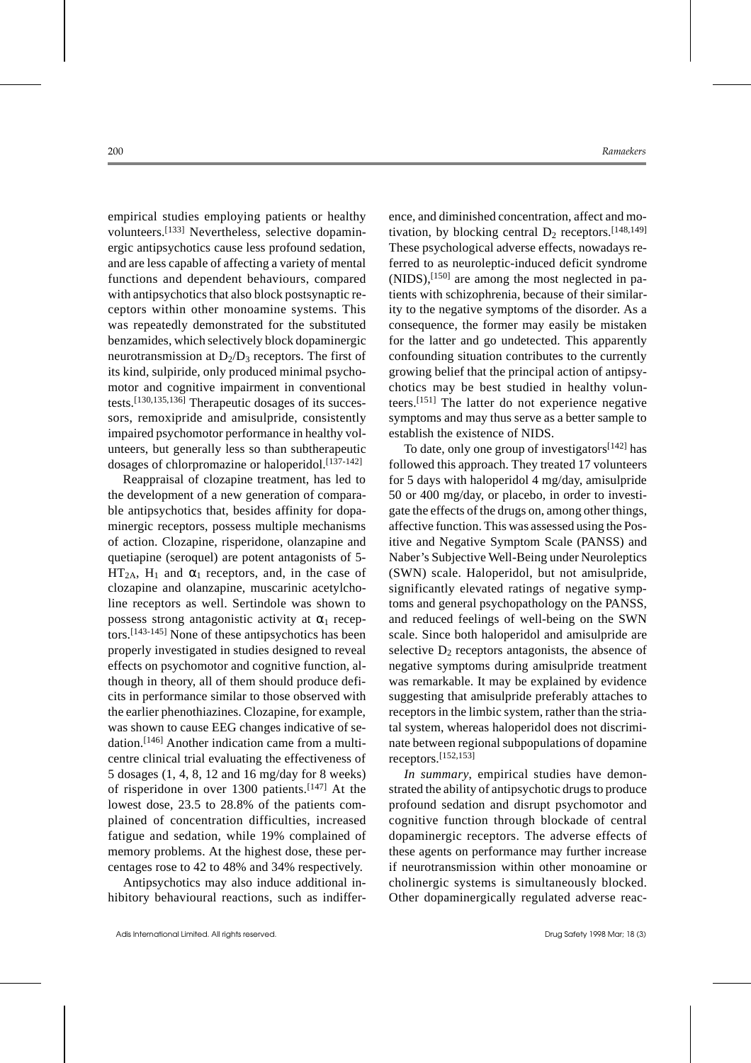empirical studies employing patients or healthy volunteers.[133] Nevertheless, selective dopaminergic antipsychotics cause less profound sedation, and are less capable of affecting a variety of mental functions and dependent behaviours, compared with antipsychotics that also block postsynaptic receptors within other monoamine systems. This was repeatedly demonstrated for the substituted benzamides, which selectively block dopaminergic neurotransmission at  $D_2/D_3$  receptors. The first of its kind, sulpiride, only produced minimal psychomotor and cognitive impairment in conventional tests.[130,135,136] Therapeutic dosages of its successors, remoxipride and amisulpride, consistently impaired psychomotor performance in healthy volunteers, but generally less so than subtherapeutic dosages of chlorpromazine or haloperidol.<sup>[137-142]</sup>

Reappraisal of clozapine treatment, has led to the development of a new generation of comparable antipsychotics that, besides affinity for dopaminergic receptors, possess multiple mechanisms of action. Clozapine, risperidone, olanzapine and quetiapine (seroquel) are potent antagonists of 5-  $HT_{2A}$ , H<sub>1</sub> and  $\alpha_1$  receptors, and, in the case of clozapine and olanzapine, muscarinic acetylcholine receptors as well. Sertindole was shown to possess strong antagonistic activity at  $\alpha_1$  receptors.[143-145] None of these antipsychotics has been properly investigated in studies designed to reveal effects on psychomotor and cognitive function, although in theory, all of them should produce deficits in performance similar to those observed with the earlier phenothiazines. Clozapine, for example, was shown to cause EEG changes indicative of sedation.[146] Another indication came from a multicentre clinical trial evaluating the effectiveness of 5 dosages (1, 4, 8, 12 and 16 mg/day for 8 weeks) of risperidone in over 1300 patients.[147] At the lowest dose, 23.5 to 28.8% of the patients complained of concentration difficulties, increased fatigue and sedation, while 19% complained of memory problems. At the highest dose, these percentages rose to 42 to 48% and 34% respectively.

Antipsychotics may also induce additional inhibitory behavioural reactions, such as indifference, and diminished concentration, affect and motivation, by blocking central  $D_2$  receptors.<sup>[148,149]</sup> These psychological adverse effects, nowadays referred to as neuroleptic-induced deficit syndrome  $(NIDS)$ ,  $[150]$  are among the most neglected in patients with schizophrenia, because of their similarity to the negative symptoms of the disorder. As a consequence, the former may easily be mistaken for the latter and go undetected. This apparently confounding situation contributes to the currently growing belief that the principal action of antipsychotics may be best studied in healthy volunteers.[151] The latter do not experience negative symptoms and may thus serve as a better sample to establish the existence of NIDS.

To date, only one group of investigators $[142]$  has followed this approach. They treated 17 volunteers for 5 days with haloperidol 4 mg/day, amisulpride 50 or 400 mg/day, or placebo, in order to investigate the effects of the drugs on, among other things, affective function. This was assessed using the Positive and Negative Symptom Scale (PANSS) and Naber's Subjective Well-Being under Neuroleptics (SWN) scale. Haloperidol, but not amisulpride, significantly elevated ratings of negative symptoms and general psychopathology on the PANSS, and reduced feelings of well-being on the SWN scale. Since both haloperidol and amisulpride are selective  $D_2$  receptors antagonists, the absence of negative symptoms during amisulpride treatment was remarkable. It may be explained by evidence suggesting that amisulpride preferably attaches to receptors in the limbic system, rather than the striatal system, whereas haloperidol does not discriminate between regional subpopulations of dopamine receptors.[152,153]

*In summary*, empirical studies have demonstrated the ability of antipsychotic drugs to produce profound sedation and disrupt psychomotor and cognitive function through blockade of central dopaminergic receptors. The adverse effects of these agents on performance may further increase if neurotransmission within other monoamine or cholinergic systems is simultaneously blocked. Other dopaminergically regulated adverse reac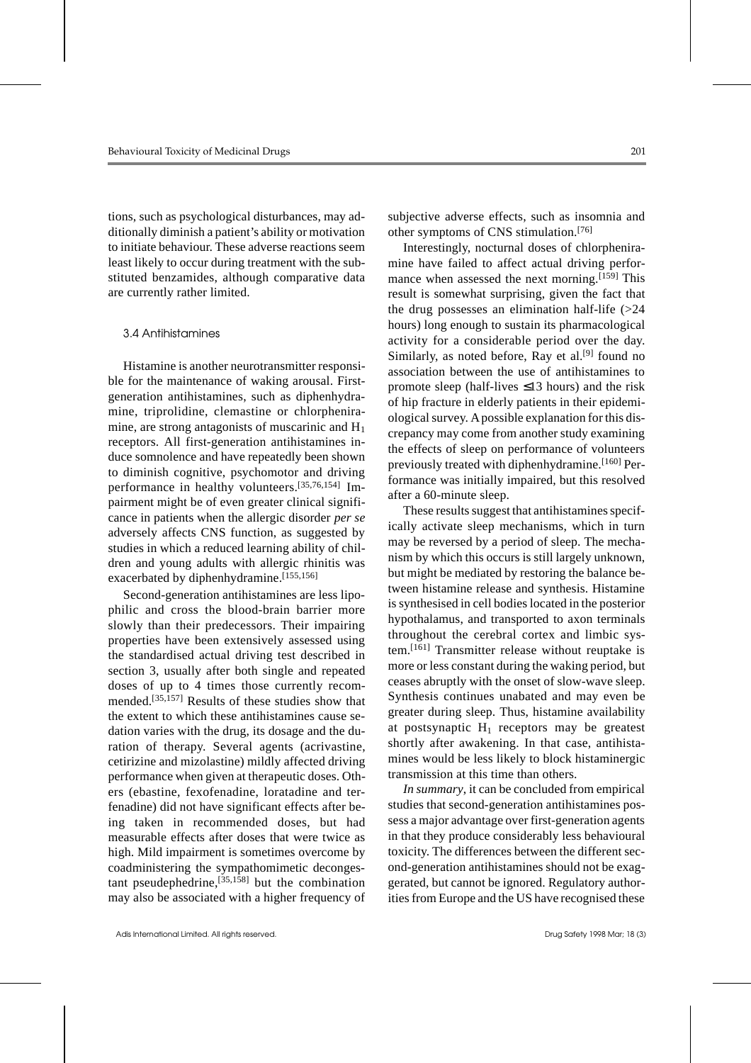tions, such as psychological disturbances, may additionally diminish a patient's ability or motivation to initiate behaviour. These adverse reactions seem least likely to occur during treatment with the substituted benzamides, although comparative data are currently rather limited.

# 3.4 Antihistamines

Histamine is another neurotransmitter responsible for the maintenance of waking arousal. Firstgeneration antihistamines, such as diphenhydramine, triprolidine, clemastine or chlorpheniramine, are strong antagonists of muscarinic and  $H_1$ receptors. All first-generation antihistamines induce somnolence and have repeatedly been shown to diminish cognitive, psychomotor and driving performance in healthy volunteers.[35,76,154] Impairment might be of even greater clinical significance in patients when the allergic disorder *per se* adversely affects CNS function, as suggested by studies in which a reduced learning ability of children and young adults with allergic rhinitis was exacerbated by diphenhydramine.[155,156]

Second-generation antihistamines are less lipophilic and cross the blood-brain barrier more slowly than their predecessors. Their impairing properties have been extensively assessed using the standardised actual driving test described in section 3, usually after both single and repeated doses of up to 4 times those currently recommended.[35,157] Results of these studies show that the extent to which these antihistamines cause sedation varies with the drug, its dosage and the duration of therapy. Several agents (acrivastine, cetirizine and mizolastine) mildly affected driving performance when given at therapeutic doses. Others (ebastine, fexofenadine, loratadine and terfenadine) did not have significant effects after being taken in recommended doses, but had measurable effects after doses that were twice as high. Mild impairment is sometimes overcome by coadministering the sympathomimetic decongestant pseudephedrine,  $[35,158]$  but the combination may also be associated with a higher frequency of subjective adverse effects, such as insomnia and other symptoms of CNS stimulation.[76]

Interestingly, nocturnal doses of chlorpheniramine have failed to affect actual driving performance when assessed the next morning.<sup>[159]</sup> This result is somewhat surprising, given the fact that the drug possesses an elimination half-life (>24 hours) long enough to sustain its pharmacological activity for a considerable period over the day. Similarly, as noted before, Ray et al.<sup>[9]</sup> found no association between the use of antihistamines to promote sleep (half-lives ≤13 hours) and the risk of hip fracture in elderly patients in their epidemiological survey. A possible explanation for this discrepancy may come from another study examining the effects of sleep on performance of volunteers previously treated with diphenhydramine.<sup>[160]</sup> Performance was initially impaired, but this resolved after a 60-minute sleep.

These results suggest that antihistamines specifically activate sleep mechanisms, which in turn may be reversed by a period of sleep. The mechanism by which this occurs is still largely unknown, but might be mediated by restoring the balance between histamine release and synthesis. Histamine is synthesised in cell bodies located in the posterior hypothalamus, and transported to axon terminals throughout the cerebral cortex and limbic system.[161] Transmitter release without reuptake is more or less constant during the waking period, but ceases abruptly with the onset of slow-wave sleep. Synthesis continues unabated and may even be greater during sleep. Thus, histamine availability at postsynaptic  $H_1$  receptors may be greatest shortly after awakening. In that case, antihistamines would be less likely to block histaminergic transmission at this time than others.

*In summary*, it can be concluded from empirical studies that second-generation antihistamines possess a major advantage over first-generation agents in that they produce considerably less behavioural toxicity. The differences between the different second-generation antihistamines should not be exaggerated, but cannot be ignored. Regulatory authorities from Europe and the US have recognised these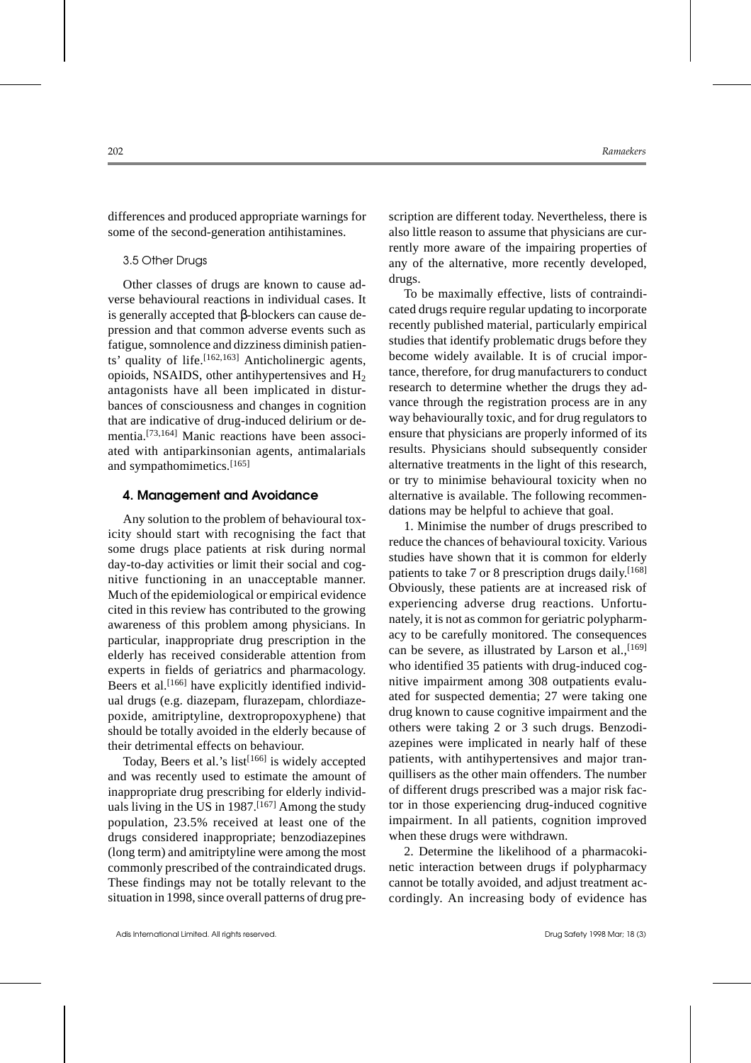differences and produced appropriate warnings for some of the second-generation antihistamines.

3.5 Other Drugs

Other classes of drugs are known to cause adverse behavioural reactions in individual cases. It is generally accepted that β-blockers can cause depression and that common adverse events such as fatigue, somnolence and dizziness diminish patients' quality of life.<sup>[162,163]</sup> Anticholinergic agents, opioids, NSAIDS, other antihypertensives and H2 antagonists have all been implicated in disturbances of consciousness and changes in cognition that are indicative of drug-induced delirium or dementia.[73,164] Manic reactions have been associated with antiparkinsonian agents, antimalarials and sympathomimetics.[165]

# **4. Management and Avoidance**

Any solution to the problem of behavioural toxicity should start with recognising the fact that some drugs place patients at risk during normal day-to-day activities or limit their social and cognitive functioning in an unacceptable manner. Much of the epidemiological or empirical evidence cited in this review has contributed to the growing awareness of this problem among physicians. In particular, inappropriate drug prescription in the elderly has received considerable attention from experts in fields of geriatrics and pharmacology. Beers et al.<sup>[166]</sup> have explicitly identified individual drugs (e.g. diazepam, flurazepam, chlordiazepoxide, amitriptyline, dextropropoxyphene) that should be totally avoided in the elderly because of their detrimental effects on behaviour.

Today, Beers et al.'s list<sup>[166]</sup> is widely accepted and was recently used to estimate the amount of inappropriate drug prescribing for elderly individuals living in the US in  $1987$ .<sup>[167]</sup> Among the study population, 23.5% received at least one of the drugs considered inappropriate; benzodiazepines (long term) and amitriptyline were among the most commonly prescribed of the contraindicated drugs. These findings may not be totally relevant to the situation in 1998, since overall patterns of drug prescription are different today. Nevertheless, there is also little reason to assume that physicians are currently more aware of the impairing properties of any of the alternative, more recently developed, drugs.

To be maximally effective, lists of contraindicated drugs require regular updating to incorporate recently published material, particularly empirical studies that identify problematic drugs before they become widely available. It is of crucial importance, therefore, for drug manufacturers to conduct research to determine whether the drugs they advance through the registration process are in any way behaviourally toxic, and for drug regulators to ensure that physicians are properly informed of its results. Physicians should subsequently consider alternative treatments in the light of this research, or try to minimise behavioural toxicity when no alternative is available. The following recommendations may be helpful to achieve that goal.

1. Minimise the number of drugs prescribed to reduce the chances of behavioural toxicity. Various studies have shown that it is common for elderly patients to take 7 or 8 prescription drugs daily.<sup>[168]</sup> Obviously, these patients are at increased risk of experiencing adverse drug reactions. Unfortunately, it is not as common for geriatric polypharmacy to be carefully monitored. The consequences can be severe, as illustrated by Larson et al.,  $[169]$ who identified 35 patients with drug-induced cognitive impairment among 308 outpatients evaluated for suspected dementia; 27 were taking one drug known to cause cognitive impairment and the others were taking 2 or 3 such drugs. Benzodiazepines were implicated in nearly half of these patients, with antihypertensives and major tranquillisers as the other main offenders. The number of different drugs prescribed was a major risk factor in those experiencing drug-induced cognitive impairment. In all patients, cognition improved when these drugs were withdrawn.

2. Determine the likelihood of a pharmacokinetic interaction between drugs if polypharmacy cannot be totally avoided, and adjust treatment accordingly. An increasing body of evidence has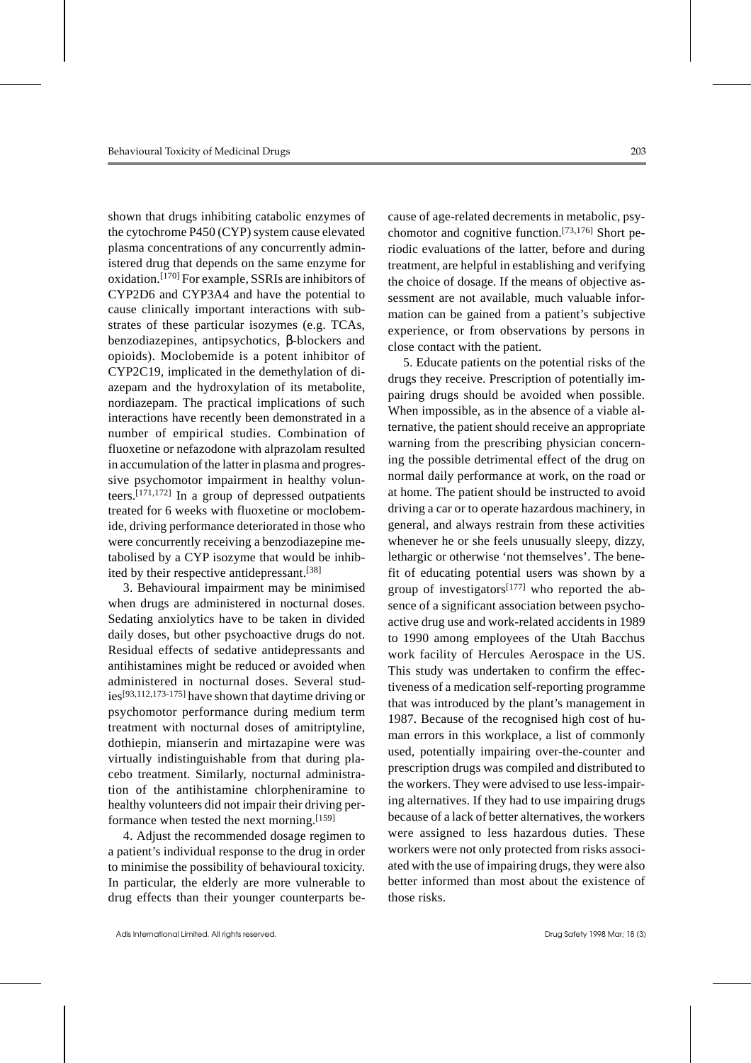shown that drugs inhibiting catabolic enzymes of the cytochrome P450 (CYP) system cause elevated plasma concentrations of any concurrently administered drug that depends on the same enzyme for oxidation.[170] For example, SSRIs are inhibitors of CYP2D6 and CYP3A4 and have the potential to cause clinically important interactions with substrates of these particular isozymes (e.g. TCAs, benzodiazepines, antipsychotics, β-blockers and opioids). Moclobemide is a potent inhibitor of CYP2C19, implicated in the demethylation of diazepam and the hydroxylation of its metabolite, nordiazepam. The practical implications of such interactions have recently been demonstrated in a number of empirical studies. Combination of fluoxetine or nefazodone with alprazolam resulted in accumulation of the latter in plasma and progressive psychomotor impairment in healthy volunteers.[171,172] In a group of depressed outpatients treated for 6 weeks with fluoxetine or moclobemide, driving performance deteriorated in those who were concurrently receiving a benzodiazepine metabolised by a CYP isozyme that would be inhibited by their respective antidepressant.<sup>[38]</sup>

3. Behavioural impairment may be minimised when drugs are administered in nocturnal doses. Sedating anxiolytics have to be taken in divided daily doses, but other psychoactive drugs do not. Residual effects of sedative antidepressants and antihistamines might be reduced or avoided when administered in nocturnal doses. Several studies[93,112,173-175] have shown that daytime driving or psychomotor performance during medium term treatment with nocturnal doses of amitriptyline, dothiepin, mianserin and mirtazapine were was virtually indistinguishable from that during placebo treatment. Similarly, nocturnal administration of the antihistamine chlorpheniramine to healthy volunteers did not impair their driving performance when tested the next morning.<sup>[159]</sup>

4. Adjust the recommended dosage regimen to a patient's individual response to the drug in order to minimise the possibility of behavioural toxicity. In particular, the elderly are more vulnerable to drug effects than their younger counterparts because of age-related decrements in metabolic, psychomotor and cognitive function.[73,176] Short periodic evaluations of the latter, before and during treatment, are helpful in establishing and verifying the choice of dosage. If the means of objective assessment are not available, much valuable information can be gained from a patient's subjective experience, or from observations by persons in close contact with the patient.

5. Educate patients on the potential risks of the drugs they receive. Prescription of potentially impairing drugs should be avoided when possible. When impossible, as in the absence of a viable alternative, the patient should receive an appropriate warning from the prescribing physician concerning the possible detrimental effect of the drug on normal daily performance at work, on the road or at home. The patient should be instructed to avoid driving a car or to operate hazardous machinery, in general, and always restrain from these activities whenever he or she feels unusually sleepy, dizzy, lethargic or otherwise 'not themselves'. The benefit of educating potential users was shown by a group of investigators $[177]$  who reported the absence of a significant association between psychoactive drug use and work-related accidents in 1989 to 1990 among employees of the Utah Bacchus work facility of Hercules Aerospace in the US. This study was undertaken to confirm the effectiveness of a medication self-reporting programme that was introduced by the plant's management in 1987. Because of the recognised high cost of human errors in this workplace, a list of commonly used, potentially impairing over-the-counter and prescription drugs was compiled and distributed to the workers. They were advised to use less-impairing alternatives. If they had to use impairing drugs because of a lack of better alternatives, the workers were assigned to less hazardous duties. These workers were not only protected from risks associated with the use of impairing drugs, they were also better informed than most about the existence of those risks.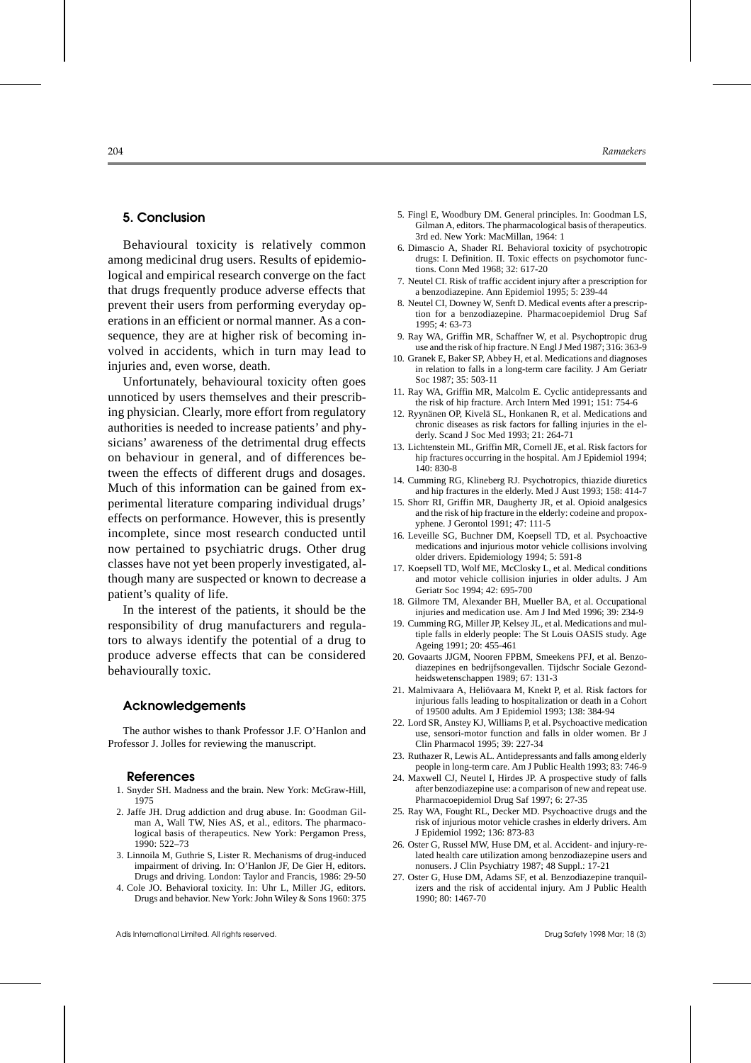# **5. Conclusion**

Behavioural toxicity is relatively common among medicinal drug users. Results of epidemiological and empirical research converge on the fact that drugs frequently produce adverse effects that prevent their users from performing everyday operations in an efficient or normal manner. As a consequence, they are at higher risk of becoming involved in accidents, which in turn may lead to injuries and, even worse, death.

Unfortunately, behavioural toxicity often goes unnoticed by users themselves and their prescribing physician. Clearly, more effort from regulatory authorities is needed to increase patients' and physicians' awareness of the detrimental drug effects on behaviour in general, and of differences between the effects of different drugs and dosages. Much of this information can be gained from experimental literature comparing individual drugs' effects on performance. However, this is presently incomplete, since most research conducted until now pertained to psychiatric drugs. Other drug classes have not yet been properly investigated, although many are suspected or known to decrease a patient's quality of life.

In the interest of the patients, it should be the responsibility of drug manufacturers and regulators to always identify the potential of a drug to produce adverse effects that can be considered behaviourally toxic.

## **Acknowledgements**

The author wishes to thank Professor J.F. O'Hanlon and Professor J. Jolles for reviewing the manuscript.

#### **References**

- 1. Snyder SH. Madness and the brain. New York: McGraw-Hill, 1975
- 2. Jaffe JH. Drug addiction and drug abuse. In: Goodman Gilman A, Wall TW, Nies AS, et al., editors. The pharmacological basis of therapeutics. New York: Pergamon Press, 1990: 522–73
- 3. Linnoila M, Guthrie S, Lister R. Mechanisms of drug-induced impairment of driving. In: O'Hanlon JF, De Gier H, editors. Drugs and driving. London: Taylor and Francis, 1986: 29-50
- 4. Cole JO. Behavioral toxicity. In: Uhr L, Miller JG, editors. Drugs and behavior. New York: John Wiley & Sons 1960: 375
- 6. Dimascio A, Shader RI. Behavioral toxicity of psychotropic drugs: I. Definition. II. Toxic effects on psychomotor functions. Conn Med 1968; 32: 617-20
- 7. Neutel CI. Risk of traffic accident injury after a prescription for a benzodiazepine. Ann Epidemiol 1995; 5: 239-44
- 8. Neutel CI, Downey W, Senft D. Medical events after a prescription for a benzodiazepine. Pharmacoepidemiol Drug Saf 1995; 4: 63-73
- 9. Ray WA, Griffin MR, Schaffner W, et al. Psychoptropic drug use and the risk of hip fracture. N Engl J Med 1987; 316: 363-9
- 10. Granek E, Baker SP, Abbey H, et al. Medications and diagnoses in relation to falls in a long-term care facility. J Am Geriatr Soc 1987; 35: 503-11
- 11. Ray WA, Griffin MR, Malcolm E. Cyclic antidepressants and the risk of hip fracture. Arch Intern Med 1991; 151: 754-6
- 12. Ryynänen OP, Kivelä SL, Honkanen R, et al. Medications and chronic diseases as risk factors for falling injuries in the elderly. Scand J Soc Med 1993; 21: 264-71
- 13. Lichtenstein ML, Griffin MR, Cornell JE, et al. Risk factors for hip fractures occurring in the hospital. Am J Epidemiol 1994: 140: 830-8
- 14. Cumming RG, Klineberg RJ. Psychotropics, thiazide diuretics and hip fractures in the elderly. Med J Aust 1993; 158: 414-7
- 15. Shorr RI, Griffin MR, Daugherty JR, et al. Opioid analgesics and the risk of hip fracture in the elderly: codeine and propoxyphene. J Gerontol 1991; 47: 111-5
- 16. Leveille SG, Buchner DM, Koepsell TD, et al. Psychoactive medications and injurious motor vehicle collisions involving older drivers. Epidemiology 1994; 5: 591-8
- 17. Koepsell TD, Wolf ME, McClosky L, et al. Medical conditions and motor vehicle collision injuries in older adults. J Am Geriatr Soc 1994; 42: 695-700
- 18. Gilmore TM, Alexander BH, Mueller BA, et al. Occupational injuries and medication use. Am J Ind Med 1996; 39: 234-9
- 19. Cumming RG, Miller JP, Kelsey JL, et al. Medications and multiple falls in elderly people: The St Louis OASIS study. Age Ageing 1991; 20: 455-461
- 20. Govaarts JJGM, Nooren FPBM, Smeekens PFJ, et al. Benzodiazepines en bedrijfsongevallen. Tijdschr Sociale Gezondheidswetenschappen 1989; 67: 131-3
- 21. Malmivaara A, Heliövaara M, Knekt P, et al. Risk factors for injurious falls leading to hospitalization or death in a Cohort of 19500 adults. Am J Epidemiol 1993; 138: 384-94
- 22. Lord SR, Anstey KJ, Williams P, et al. Psychoactive medication use, sensori-motor function and falls in older women. Br J Clin Pharmacol 1995; 39: 227-34
- 23. Ruthazer R, Lewis AL. Antidepressants and falls among elderly people in long-term care. Am J Public Health 1993; 83: 746-9
- 24. Maxwell CJ, Neutel I, Hirdes JP. A prospective study of falls after benzodiazepine use: a comparison of new and repeat use. Pharmacoepidemiol Drug Saf 1997; 6: 27-35
- 25. Ray WA, Fought RL, Decker MD. Psychoactive drugs and the risk of injurious motor vehicle crashes in elderly drivers. Am J Epidemiol 1992; 136: 873-83
- 26. Oster G, Russel MW, Huse DM, et al. Accident- and injury-related health care utilization among benzodiazepine users and nonusers. J Clin Psychiatry 1987; 48 Suppl.: 17-21
- 27. Oster G, Huse DM, Adams SF, et al. Benzodiazepine tranquilizers and the risk of accidental injury. Am J Public Health 1990; 80: 1467-70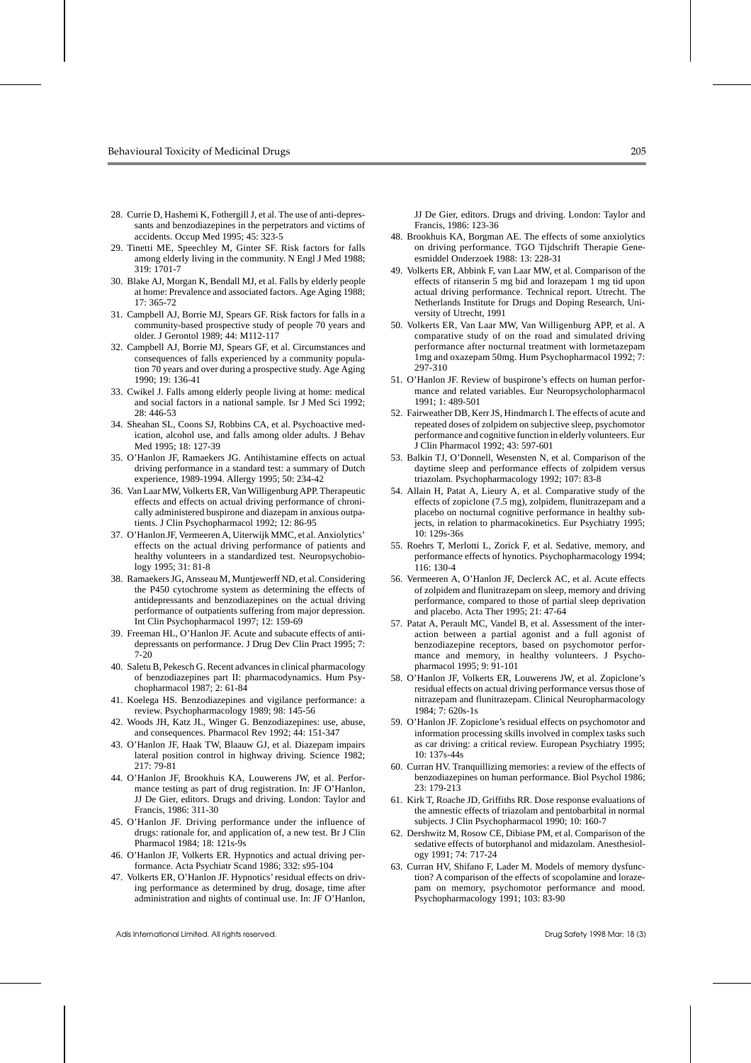- 28. Currie D, Hashemi K, Fothergill J, et al. The use of anti-depressants and benzodiazepines in the perpetrators and victims of accidents. Occup Med 1995; 45: 323-5
- 29. Tinetti ME, Speechley M, Ginter SF. Risk factors for falls among elderly living in the community. N Engl J Med 1988; 319: 1701-7
- 30. Blake AJ, Morgan K, Bendall MJ, et al. Falls by elderly people at home: Prevalence and associated factors. Age Aging 1988;  $17.365 - 72$
- 31. Campbell AJ, Borrie MJ, Spears GF. Risk factors for falls in a community-based prospective study of people 70 years and older. J Gerontol 1989; 44: M112-117
- 32. Campbell AJ, Borrie MJ, Spears GF, et al. Circumstances and consequences of falls experienced by a community population 70 years and over during a prospective study. Age Aging 1990; 19: 136-41
- 33. Cwikel J. Falls among elderly people living at home: medical and social factors in a national sample. Isr J Med Sci 1992; 28: 446-53
- 34. Sheahan SL, Coons SJ, Robbins CA, et al. Psychoactive medication, alcohol use, and falls among older adults. J Behav Med 1995; 18: 127-39
- 35. O'Hanlon JF, Ramaekers JG. Antihistamine effects on actual driving performance in a standard test: a summary of Dutch experience, 1989-1994. Allergy 1995; 50: 234-42
- 36. Van Laar MW, Volkerts ER, Van Willigenburg APP. Therapeutic effects and effects on actual driving performance of chronically administered buspirone and diazepam in anxious outpatients. J Clin Psychopharmacol 1992; 12: 86-95
- 37. O'Hanlon JF, Vermeeren A, Uiterwijk MMC, et al. Anxiolytics' effects on the actual driving performance of patients and healthy volunteers in a standardized test. Neuropsychobiology 1995; 31: 81-8
- 38. Ramaekers JG, Ansseau M, Muntjewerff ND, et al. Considering the P450 cytochrome system as determining the effects of antidepressants and benzodiazepines on the actual driving performance of outpatients suffering from major depression. Int Clin Psychopharmacol 1997; 12: 159-69
- 39. Freeman HL, O'Hanlon JF. Acute and subacute effects of antidepressants on performance. J Drug Dev Clin Pract 1995; 7: 7-20
- 40. Saletu B, Pekesch G. Recent advances in clinical pharmacology of benzodiazepines part II: pharmacodynamics. Hum Psychopharmacol 1987; 2: 61-84
- 41. Koelega HS. Benzodiazepines and vigilance performance: a review. Psychopharmacology 1989; 98: 145-56
- 42. Woods JH, Katz JL, Winger G. Benzodiazepines: use, abuse, and consequences. Pharmacol Rev 1992; 44: 151-347
- 43. O'Hanlon JF, Haak TW, Blaauw GJ, et al. Diazepam impairs lateral position control in highway driving. Science 1982; 217: 79-81
- 44. O'Hanlon JF, Brookhuis KA, Louwerens JW, et al. Performance testing as part of drug registration. In: JF O'Hanlon, JJ De Gier, editors. Drugs and driving. London: Taylor and Francis, 1986: 311-30
- 45. O'Hanlon JF. Driving performance under the influence of drugs: rationale for, and application of, a new test. Br J Clin Pharmacol 1984; 18: 121s-9s
- 46. O'Hanlon JF, Volkerts ER. Hypnotics and actual driving performance. Acta Psychiatr Scand 1986; 332: s95-104
- 47. Volkerts ER, O'Hanlon JF. Hypnotics' residual effects on driving performance as determined by drug, dosage, time after administration and nights of continual use. In: JF O'Hanlon,
- 48. Brookhuis KA, Borgman AE. The effects of some anxiolytics on driving performance. TGO Tijdschrift Therapie Geneesmiddel Onderzoek 1988: 13: 228-31
- 49. Volkerts ER, Abbink F, van Laar MW, et al. Comparison of the effects of ritanserin 5 mg bid and lorazepam 1 mg tid upon actual driving performance. Technical report. Utrecht. The Netherlands Institute for Drugs and Doping Research, University of Utrecht, 1991
- 50. Volkerts ER, Van Laar MW, Van Willigenburg APP, et al. A comparative study of on the road and simulated driving performance after nocturnal treatment with lormetazepam 1mg and oxazepam 50mg. Hum Psychopharmacol 1992; 7: 297-310
- 51. O'Hanlon JF. Review of buspirone's effects on human performance and related variables. Eur Neuropsycholopharmacol 1991; 1: 489-501
- 52. Fairweather DB, Kerr JS, Hindmarch I. The effects of acute and repeated doses of zolpidem on subjective sleep, psychomotor performance and cognitive function in elderly volunteers. Eur J Clin Pharmacol 1992; 43: 597-601
- 53. Balkin TJ, O'Donnell, Wesensten N, et al. Comparison of the daytime sleep and performance effects of zolpidem versus triazolam. Psychopharmacology 1992; 107: 83-8
- 54. Allain H, Patat A, Lieury A, et al. Comparative study of the effects of zopiclone (7.5 mg), zolpidem, flunitrazepam and a placebo on nocturnal cognitive performance in healthy subjects, in relation to pharmacokinetics. Eur Psychiatry 1995;  $10: 129s - 36s$
- 55. Roehrs T, Merlotti L, Zorick F, et al. Sedative, memory, and performance effects of hynotics. Psychopharmacology 1994; 116: 130-4
- 56. Vermeeren A, O'Hanlon JF, Declerck AC, et al. Acute effects of zolpidem and flunitrazepam on sleep, memory and driving performance, compared to those of partial sleep deprivation and placebo. Acta Ther 1995; 21: 47-64
- 57. Patat A, Perault MC, Vandel B, et al. Assessment of the interaction between a partial agonist and a full agonist of benzodiazepine receptors, based on psychomotor performance and memory, in healthy volunteers. J Psychopharmacol 1995; 9: 91-101
- 58. O'Hanlon JF, Volkerts ER, Louwerens JW, et al. Zopiclone's residual effects on actual driving performance versus those of nitrazepam and flunitrazepam. Clinical Neuropharmacology 1984; 7: 620s-1s
- 59. O'Hanlon JF. Zopiclone's residual effects on psychomotor and information processing skills involved in complex tasks such as car driving: a critical review. European Psychiatry 1995; 10: 137s-44s
- 60. Curran HV. Tranquillizing memories: a review of the effects of benzodiazepines on human performance. Biol Psychol 1986; 23: 179-213
- 61. Kirk T, Roache JD, Griffiths RR. Dose response evaluations of the amnestic effects of triazolam and pentobarbital in normal subjects. J Clin Psychopharmacol 1990; 10: 160-7
- 62. Dershwitz M, Rosow CE, Dibiase PM, et al. Comparison of the sedative effects of butorphanol and midazolam. Anesthesiology 1991; 74: 717-24
- 63. Curran HV, Shifano F, Lader M. Models of memory dysfunction? A comparison of the effects of scopolamine and lorazepam on memory, psychomotor performance and mood. Psychopharmacology 1991; 103: 83-90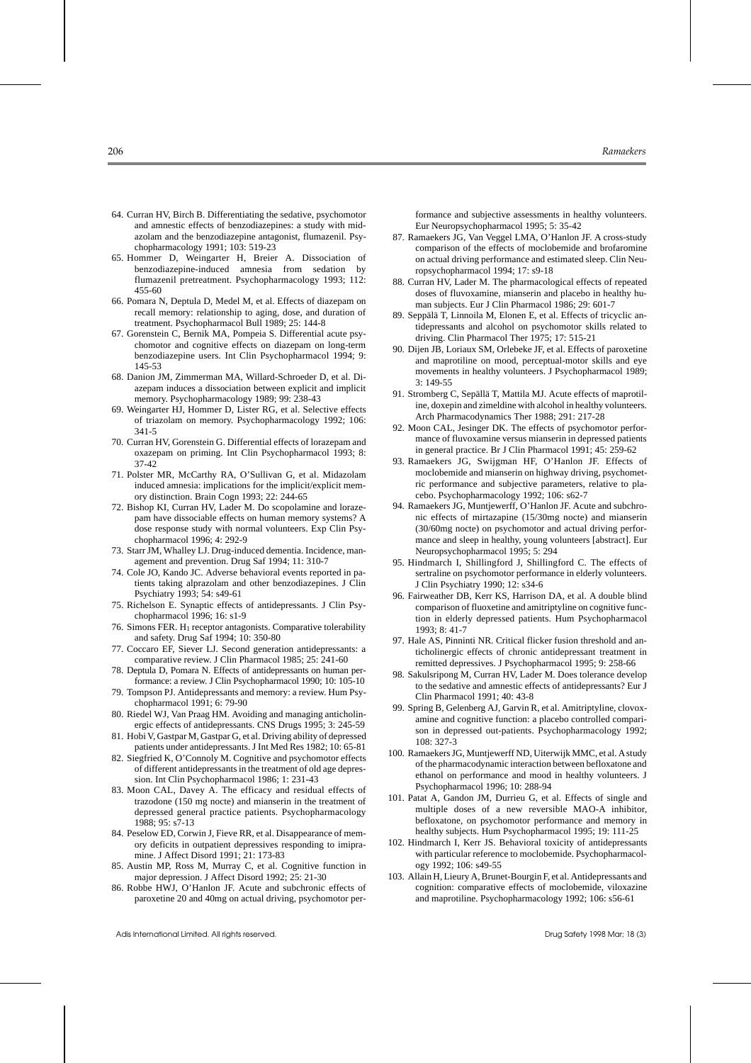- 64. Curran HV, Birch B. Differentiating the sedative, psychomotor and amnestic effects of benzodiazepines: a study with midazolam and the benzodiazepine antagonist, flumazenil. Psychopharmacology 1991; 103: 519-23
- 65. Hommer D, Weingarter H, Breier A. Dissociation of benzodiazepine-induced amnesia from sedation by flumazenil pretreatment. Psychopharmacology 1993; 112: 455-60
- 66. Pomara N, Deptula D, Medel M, et al. Effects of diazepam on recall memory: relationship to aging, dose, and duration of treatment. Psychopharmacol Bull 1989; 25: 144-8
- 67. Gorenstein C, Bernik MA, Pompeia S. Differential acute psychomotor and cognitive effects on diazepam on long-term benzodiazepine users. Int Clin Psychopharmacol 1994; 9: 145-53
- 68. Danion JM, Zimmerman MA, Willard-Schroeder D, et al. Diazepam induces a dissociation between explicit and implicit memory. Psychopharmacology 1989; 99: 238-43
- 69. Weingarter HJ, Hommer D, Lister RG, et al. Selective effects of triazolam on memory. Psychopharmacology 1992; 106: 341-5
- 70. Curran HV, Gorenstein G. Differential effects of lorazepam and oxazepam on priming. Int Clin Psychopharmacol 1993; 8: 37-42
- 71. Polster MR, McCarthy RA, O'Sullivan G, et al. Midazolam induced amnesia: implications for the implicit/explicit memory distinction. Brain Cogn 1993; 22: 244-65
- 72. Bishop KI, Curran HV, Lader M. Do scopolamine and lorazepam have dissociable effects on human memory systems? A dose response study with normal volunteers. Exp Clin Psychopharmacol 1996; 4: 292-9
- 73. Starr JM, Whalley LJ. Drug-induced dementia. Incidence, management and prevention. Drug Saf 1994; 11: 310-7
- 74. Cole JO, Kando JC. Adverse behavioral events reported in patients taking alprazolam and other benzodiazepines. J Clin Psychiatry 1993; 54: s49-61
- 75. Richelson E. Synaptic effects of antidepressants. J Clin Psychopharmacol 1996; 16: s1-9
- 76. Simons FER. H1 receptor antagonists. Comparative tolerability and safety. Drug Saf 1994; 10: 350-80
- 77. Coccaro EF, Siever LJ. Second generation antidepressants: a comparative review. J Clin Pharmacol 1985; 25: 241-60
- 78. Deptula D, Pomara N. Effects of antidepressants on human performance: a review. J Clin Psychopharmacol 1990; 10: 105-10
- 79. Tompson PJ. Antidepressants and memory: a review. Hum Psychopharmacol 1991; 6: 79-90
- 80. Riedel WJ, Van Praag HM. Avoiding and managing anticholinergic effects of antidepressants. CNS Drugs 1995; 3: 245-59
- 81. Hobi V, Gastpar M, Gastpar G, et al. Driving ability of depressed patients under antidepressants. J Int Med Res 1982; 10: 65-81
- 82. Siegfried K, O'Connoly M. Cognitive and psychomotor effects of different antidepressants in the treatment of old age depression. Int Clin Psychopharmacol 1986; 1: 231-43
- 83. Moon CAL, Davey A. The efficacy and residual effects of trazodone (150 mg nocte) and mianserin in the treatment of depressed general practice patients. Psychopharmacology 1988; 95: s7-13
- 84. Peselow ED, Corwin J, Fieve RR, et al. Disappearance of memory deficits in outpatient depressives responding to imipramine. J Affect Disord 1991; 21: 173-83
- 85. Austin MP, Ross M, Murray C, et al. Cognitive function in major depression. J Affect Disord 1992; 25: 21-30
- 86. Robbe HWJ, O'Hanlon JF. Acute and subchronic effects of paroxetine 20 and 40mg on actual driving, psychomotor per-

formance and subjective assessments in healthy volunteers. Eur Neuropsychopharmacol 1995; 5: 35-42

- 87. Ramaekers JG, Van Veggel LMA, O'Hanlon JF. A cross-study comparison of the effects of moclobemide and brofaromine on actual driving performance and estimated sleep. Clin Neuropsychopharmacol 1994; 17: s9-18
- 88. Curran HV, Lader M. The pharmacological effects of repeated doses of fluvoxamine, mianserin and placebo in healthy human subjects. Eur J Clin Pharmacol 1986; 29: 601-7
- 89. Seppälä T, Linnoila M, Elonen E, et al. Effects of tricyclic antidepressants and alcohol on psychomotor skills related to driving. Clin Pharmacol Ther 1975; 17: 515-21
- 90. Dijen JB, Loriaux SM, Orlebeke JF, et al. Effects of paroxetine and maprotiline on mood, perceptual-motor skills and eye movements in healthy volunteers. J Psychopharmacol 1989; 3: 149-55
- 91. Stromberg C, Sepällä T, Mattila MJ. Acute effects of maprotiline, doxepin and zimeldine with alcohol in healthy volunteers. Arch Pharmacodynamics Ther 1988; 291: 217-28
- 92. Moon CAL, Jesinger DK. The effects of psychomotor performance of fluvoxamine versus mianserin in depressed patients in general practice. Br J Clin Pharmacol 1991; 45: 259-62
- 93. Ramaekers JG, Swijgman HF, O'Hanlon JF. Effects of moclobemide and mianserin on highway driving, psychometric performance and subjective parameters, relative to placebo. Psychopharmacology 1992; 106: s62-7
- 94. Ramaekers JG, Muntjewerff, O'Hanlon JF. Acute and subchronic effects of mirtazapine (15/30mg nocte) and mianserin (30/60mg nocte) on psychomotor and actual driving performance and sleep in healthy, young volunteers [abstract]. Eur Neuropsychopharmacol 1995; 5: 294
- 95. Hindmarch I, Shillingford J, Shillingford C. The effects of sertraline on psychomotor performance in elderly volunteers. J Clin Psychiatry 1990; 12: s34-6
- 96. Fairweather DB, Kerr KS, Harrison DA, et al. A double blind comparison of fluoxetine and amitriptyline on cognitive function in elderly depressed patients. Hum Psychopharmacol 1993; 8: 41-7
- 97. Hale AS, Pinninti NR. Critical flicker fusion threshold and anticholinergic effects of chronic antidepressant treatment in remitted depressives. J Psychopharmacol 1995; 9: 258-66
- 98. Sakulsripong M, Curran HV, Lader M. Does tolerance develop to the sedative and amnestic effects of antidepressants? Eur J Clin Pharmacol 1991; 40: 43-8
- 99. Spring B, Gelenberg AJ, Garvin R, et al. Amitriptyline, clovoxamine and cognitive function: a placebo controlled comparison in depressed out-patients. Psychopharmacology 1992; 108: 327-3
- 100. Ramaekers JG, Muntjewerff ND, Uiterwijk MMC, et al. A study of the pharmacodynamic interaction between befloxatone and ethanol on performance and mood in healthy volunteers. J Psychopharmacol 1996; 10: 288-94
- 101. Patat A, Gandon JM, Durrieu G, et al. Effects of single and multiple doses of a new reversible MAO-A inhibitor, befloxatone, on psychomotor performance and memory in healthy subjects. Hum Psychopharmacol 1995; 19: 111-25
- 102. Hindmarch I, Kerr JS. Behavioral toxicity of antidepressants with particular reference to moclobemide. Psychopharmacology 1992; 106: s49-55
- 103. Allain H, Lieury A, Brunet-Bourgin F, et al. Antidepressants and cognition: comparative effects of moclobemide, viloxazine and maprotiline. Psychopharmacology 1992; 106: s56-61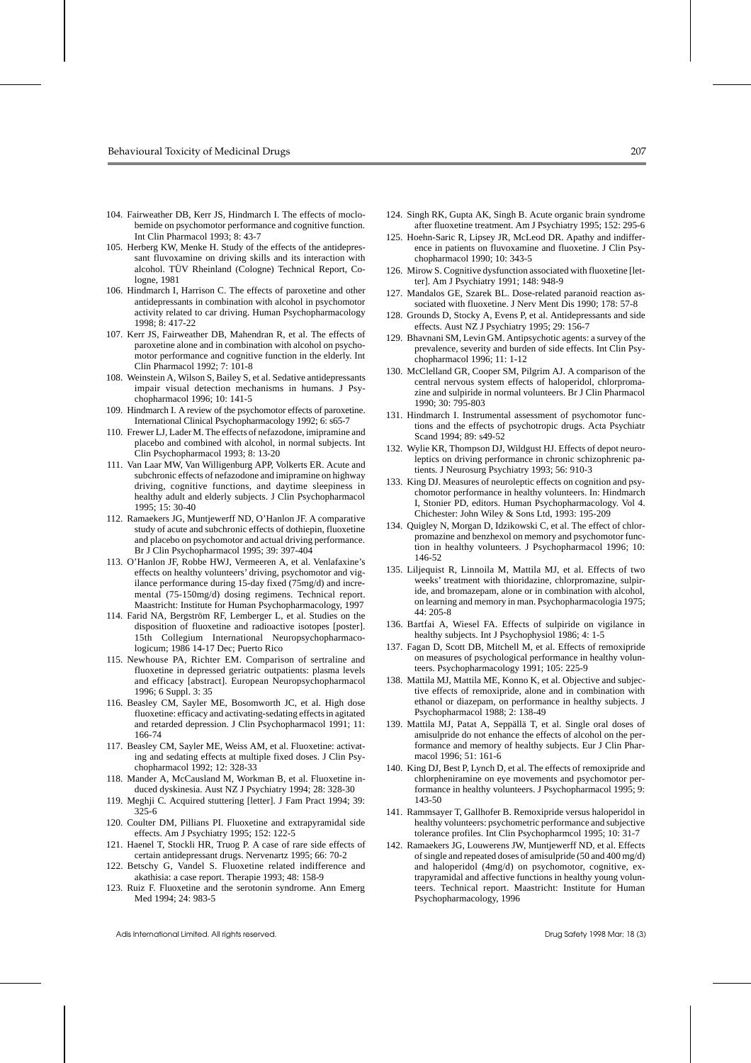- 104. Fairweather DB, Kerr JS, Hindmarch I. The effects of moclobemide on psychomotor performance and cognitive function. Int Clin Pharmacol 1993; 8: 43-7
- 105. Herberg KW, Menke H. Study of the effects of the antidepressant fluvoxamine on driving skills and its interaction with alcohol. TÜV Rheinland (Cologne) Technical Report, Cologne, 1981
- 106. Hindmarch I, Harrison C. The effects of paroxetine and other antidepressants in combination with alcohol in psychomotor activity related to car driving. Human Psychopharmacology 1998; 8: 417-22
- 107. Kerr JS, Fairweather DB, Mahendran R, et al. The effects of paroxetine alone and in combination with alcohol on psychomotor performance and cognitive function in the elderly. Int Clin Pharmacol 1992; 7: 101-8
- 108. Weinstein A, Wilson S, Bailey S, et al. Sedative antidepressants impair visual detection mechanisms in humans. J Psychopharmacol 1996; 10: 141-5
- 109. Hindmarch I. A review of the psychomotor effects of paroxetine. International Clinical Psychopharmacology 1992; 6: s65-7
- 110. Frewer LJ, Lader M. The effects of nefazodone, imipramine and placebo and combined with alcohol, in normal subjects. Int Clin Psychopharmacol 1993; 8: 13-20
- 111. Van Laar MW, Van Willigenburg APP, Volkerts ER. Acute and subchronic effects of nefazodone and imipramine on highway driving, cognitive functions, and daytime sleepiness in healthy adult and elderly subjects. J Clin Psychopharmacol 1995; 15: 30-40
- 112. Ramaekers JG, Muntjewerff ND, O'Hanlon JF. A comparative study of acute and subchronic effects of dothiepin, fluoxetine and placebo on psychomotor and actual driving performance. Br J Clin Psychopharmacol 1995; 39: 397-404
- 113. O'Hanlon JF, Robbe HWJ, Vermeeren A, et al. Venlafaxine's effects on healthy volunteers' driving, psychomotor and vigilance performance during 15-day fixed (75mg/d) and incremental (75-150mg/d) dosing regimens. Technical report. Maastricht: Institute for Human Psychopharmacology, 1997
- 114. Farid NA, Bergström RF, Lemberger L, et al. Studies on the disposition of fluoxetine and radioactive isotopes [poster]. 15th Collegium International Neuropsychopharmacologicum; 1986 14-17 Dec; Puerto Rico
- 115. Newhouse PA, Richter EM. Comparison of sertraline and fluoxetine in depressed geriatric outpatients: plasma levels and efficacy [abstract]. European Neuropsychopharmacol 1996; 6 Suppl. 3: 35
- 116. Beasley CM, Sayler ME, Bosomworth JC, et al. High dose fluoxetine: efficacy and activating-sedating effects in agitated and retarded depression. J Clin Psychopharmacol 1991; 11: 166-74
- 117. Beasley CM, Sayler ME, Weiss AM, et al. Fluoxetine: activating and sedating effects at multiple fixed doses. J Clin Psychopharmacol 1992; 12: 328-33
- 118. Mander A, McCausland M, Workman B, et al. Fluoxetine induced dyskinesia. Aust NZ J Psychiatry 1994; 28: 328-30
- 119. Meghji C. Acquired stuttering [letter]. J Fam Pract 1994; 39: 325-6
- 120. Coulter DM, Pillians PI. Fluoxetine and extrapyramidal side effects. Am J Psychiatry 1995; 152: 122-5
- 121. Haenel T, Stockli HR, Truog P. A case of rare side effects of certain antidepressant drugs. Nervenartz 1995; 66: 70-2
- 122. Betschy G, Vandel S. Fluoxetine related indifference and akathisia: a case report. Therapie 1993; 48: 158-9
- 123. Ruiz F. Fluoxetine and the serotonin syndrome. Ann Emerg Med 1994; 24: 983-5
- 124. Singh RK, Gupta AK, Singh B. Acute organic brain syndrome after fluoxetine treatment. Am J Psychiatry 1995; 152: 295-6
- 125. Hoehn-Saric R, Lipsey JR, McLeod DR. Apathy and indifference in patients on fluvoxamine and fluoxetine. J Clin Psychopharmacol 1990; 10: 343-5
- 126. Mirow S. Cognitive dysfunction associated with fluoxetine [letter]. Am J Psychiatry 1991; 148: 948-9
- 127. Mandalos GE, Szarek BL. Dose-related paranoid reaction associated with fluoxetine. J Nerv Ment Dis 1990; 178: 57-8
- 128. Grounds D, Stocky A, Evens P, et al. Antidepressants and side effects. Aust NZ J Psychiatry 1995; 29: 156-7
- 129. Bhavnani SM, Levin GM. Antipsychotic agents: a survey of the prevalence, severity and burden of side effects. Int Clin Psychopharmacol 1996; 11: 1-12
- 130. McClelland GR, Cooper SM, Pilgrim AJ. A comparison of the central nervous system effects of haloperidol, chlorpromazine and sulpiride in normal volunteers. Br J Clin Pharmacol 1990; 30: 795-803
- 131. Hindmarch I. Instrumental assessment of psychomotor functions and the effects of psychotropic drugs. Acta Psychiatr Scand 1994; 89: s49-52
- 132. Wylie KR, Thompson DJ, Wildgust HJ. Effects of depot neuroleptics on driving performance in chronic schizophrenic patients. J Neurosurg Psychiatry 1993; 56: 910-3
- 133. King DJ. Measures of neuroleptic effects on cognition and psychomotor performance in healthy volunteers. In: Hindmarch I, Stonier PD, editors. Human Psychopharmacology. Vol 4. Chichester: John Wiley & Sons Ltd, 1993: 195-209
- 134. Quigley N, Morgan D, Idzikowski C, et al. The effect of chlorpromazine and benzhexol on memory and psychomotor function in healthy volunteers. J Psychopharmacol 1996; 10: 146-52
- 135. Liljequist R, Linnoila M, Mattila MJ, et al. Effects of two weeks' treatment with thioridazine, chlorpromazine, sulpiride, and bromazepam, alone or in combination with alcohol, on learning and memory in man. Psychopharmacologia 1975; 44: 205-8
- 136. Bartfai A, Wiesel FA. Effects of sulpiride on vigilance in healthy subjects. Int J Psychophysiol 1986; 4: 1-5
- 137. Fagan D, Scott DB, Mitchell M, et al. Effects of remoxipride on measures of psychological performance in healthy volunteers. Psychopharmacology 1991; 105: 225-9
- 138. Mattila MJ, Mattila ME, Konno K, et al. Objective and subjective effects of remoxipride, alone and in combination with ethanol or diazepam, on performance in healthy subjects. J Psychopharmacol 1988; 2: 138-49
- 139. Mattila MJ, Patat A, Seppällä T, et al. Single oral doses of amisulpride do not enhance the effects of alcohol on the performance and memory of healthy subjects. Eur J Clin Pharmacol 1996; 51: 161-6
- 140. King DJ, Best P, Lynch D, et al. The effects of remoxipride and chlorpheniramine on eye movements and psychomotor performance in healthy volunteers. J Psychopharmacol 1995; 9: 143-50
- 141. Rammsayer T, Gallhofer B. Remoxipride versus haloperidol in healthy volunteers: psychometric performance and subjective tolerance profiles. Int Clin Psychopharmcol 1995; 10: 31-7
- 142. Ramaekers JG, Louwerens JW, Muntjewerff ND, et al. Effects of single and repeated doses of amisulpride (50 and 400 mg/d) and haloperidol (4mg/d) on psychomotor, cognitive, extrapyramidal and affective functions in healthy young volunteers. Technical report. Maastricht: Institute for Human Psychopharmacology, 1996